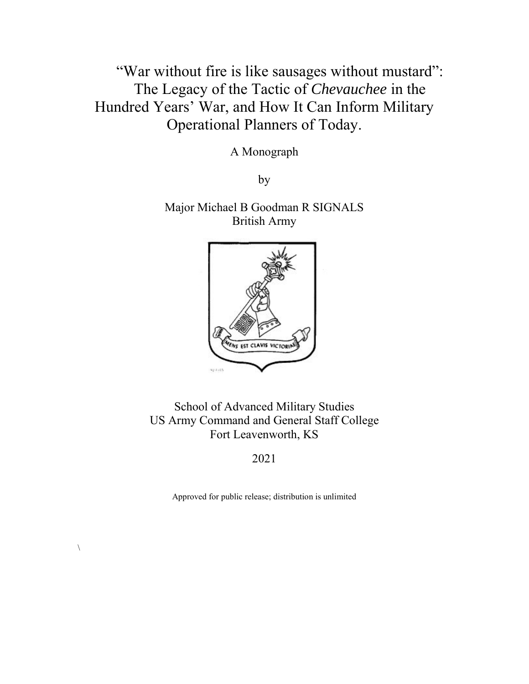"War without fire is like sausages without mustard": The Legacy of the Tactic of *Chevauchee* in the Hundred Years' War, and How It Can Inform Military Operational Planners of Today.

A Monograph

by

Major Michael B Goodman R SIGNALS British Army



School of Advanced Military Studies US Army Command and General Staff College Fort Leavenworth, KS

2021

Approved for public release; distribution is unlimited

 $\setminus$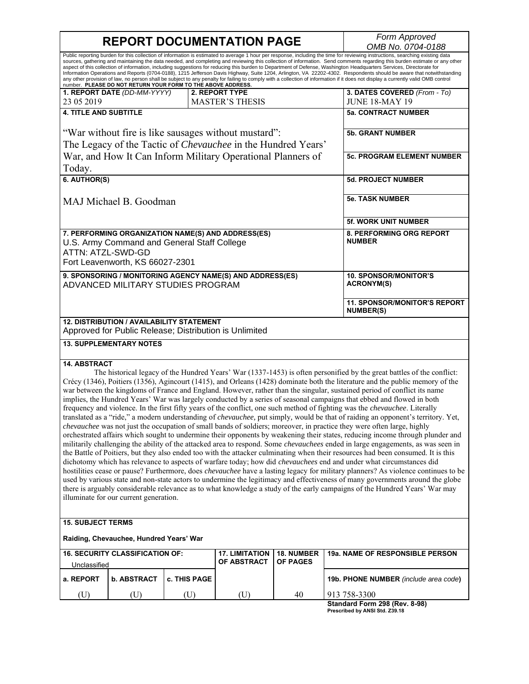# **REPORT DOCUMENTATION PAGE**

*Form Approved*<br>*OMB No. 0704-0188* 

|                                                                                                                                                                                                                                                                                                                                                                                                                                                                                                                                                                                                                                                                                                                                                                                                                                                                                                                                                                                                                                                                                                                                                                                                                                                                                                                                                                                                                                                                                                                                                                                                                                                                                                                                                                                                                                                                                                                                                                                |                                                        |              |                                                           |                               | OMD IVO. U7U4-U 100                              |  |
|--------------------------------------------------------------------------------------------------------------------------------------------------------------------------------------------------------------------------------------------------------------------------------------------------------------------------------------------------------------------------------------------------------------------------------------------------------------------------------------------------------------------------------------------------------------------------------------------------------------------------------------------------------------------------------------------------------------------------------------------------------------------------------------------------------------------------------------------------------------------------------------------------------------------------------------------------------------------------------------------------------------------------------------------------------------------------------------------------------------------------------------------------------------------------------------------------------------------------------------------------------------------------------------------------------------------------------------------------------------------------------------------------------------------------------------------------------------------------------------------------------------------------------------------------------------------------------------------------------------------------------------------------------------------------------------------------------------------------------------------------------------------------------------------------------------------------------------------------------------------------------------------------------------------------------------------------------------------------------|--------------------------------------------------------|--------------|-----------------------------------------------------------|-------------------------------|--------------------------------------------------|--|
| Public reporting burden for this collection of information is estimated to average 1 hour per response, including the time for reviewing instructions, searching existing data<br>sources, gathering and maintaining the data needed, and completing and reviewing this collection of information. Send comments regarding this burden estimate or any other<br>aspect of this collection of information, including suggestions for reducing this burden to Department of Defense, Washington Headquarters Services, Directorate for<br>Information Operations and Reports (0704-0188), 1215 Jefferson Davis Highway, Suite 1204, Arlington, VA 22202-4302. Respondents should be aware that notwithstanding<br>any other provision of law, no person shall be subject to any penalty for failing to comply with a collection of information if it does not display a currently valid OMB control<br>number. PLEASE DO NOT RETURN YOUR FORM TO THE ABOVE ADDRESS.                                                                                                                                                                                                                                                                                                                                                                                                                                                                                                                                                                                                                                                                                                                                                                                                                                                                                                                                                                                                              |                                                        |              |                                                           |                               |                                                  |  |
|                                                                                                                                                                                                                                                                                                                                                                                                                                                                                                                                                                                                                                                                                                                                                                                                                                                                                                                                                                                                                                                                                                                                                                                                                                                                                                                                                                                                                                                                                                                                                                                                                                                                                                                                                                                                                                                                                                                                                                                | 1. REPORT DATE (DD-MM-YYYY)                            |              | 2. REPORT TYPE                                            |                               | 3. DATES COVERED (From - To)                     |  |
| 23 05 2019                                                                                                                                                                                                                                                                                                                                                                                                                                                                                                                                                                                                                                                                                                                                                                                                                                                                                                                                                                                                                                                                                                                                                                                                                                                                                                                                                                                                                                                                                                                                                                                                                                                                                                                                                                                                                                                                                                                                                                     |                                                        |              | <b>MASTER'S THESIS</b>                                    |                               | <b>JUNE 18-MAY 19</b>                            |  |
| <b>4. TITLE AND SUBTITLE</b>                                                                                                                                                                                                                                                                                                                                                                                                                                                                                                                                                                                                                                                                                                                                                                                                                                                                                                                                                                                                                                                                                                                                                                                                                                                                                                                                                                                                                                                                                                                                                                                                                                                                                                                                                                                                                                                                                                                                                   |                                                        |              |                                                           |                               | <b>5a. CONTRACT NUMBER</b>                       |  |
| "War without fire is like sausages without mustard":                                                                                                                                                                                                                                                                                                                                                                                                                                                                                                                                                                                                                                                                                                                                                                                                                                                                                                                                                                                                                                                                                                                                                                                                                                                                                                                                                                                                                                                                                                                                                                                                                                                                                                                                                                                                                                                                                                                           |                                                        |              |                                                           |                               | <b>5b. GRANT NUMBER</b>                          |  |
| The Legacy of the Tactic of <i>Chevauchee</i> in the Hundred Years'                                                                                                                                                                                                                                                                                                                                                                                                                                                                                                                                                                                                                                                                                                                                                                                                                                                                                                                                                                                                                                                                                                                                                                                                                                                                                                                                                                                                                                                                                                                                                                                                                                                                                                                                                                                                                                                                                                            |                                                        |              |                                                           |                               |                                                  |  |
| War, and How It Can Inform Military Operational Planners of                                                                                                                                                                                                                                                                                                                                                                                                                                                                                                                                                                                                                                                                                                                                                                                                                                                                                                                                                                                                                                                                                                                                                                                                                                                                                                                                                                                                                                                                                                                                                                                                                                                                                                                                                                                                                                                                                                                    |                                                        |              |                                                           |                               | <b>5c. PROGRAM ELEMENT NUMBER</b>                |  |
| Today.                                                                                                                                                                                                                                                                                                                                                                                                                                                                                                                                                                                                                                                                                                                                                                                                                                                                                                                                                                                                                                                                                                                                                                                                                                                                                                                                                                                                                                                                                                                                                                                                                                                                                                                                                                                                                                                                                                                                                                         |                                                        |              |                                                           |                               |                                                  |  |
| 6. AUTHOR(S)                                                                                                                                                                                                                                                                                                                                                                                                                                                                                                                                                                                                                                                                                                                                                                                                                                                                                                                                                                                                                                                                                                                                                                                                                                                                                                                                                                                                                                                                                                                                                                                                                                                                                                                                                                                                                                                                                                                                                                   |                                                        |              |                                                           |                               | <b>5d. PROJECT NUMBER</b>                        |  |
| MAJ Michael B. Goodman                                                                                                                                                                                                                                                                                                                                                                                                                                                                                                                                                                                                                                                                                                                                                                                                                                                                                                                                                                                                                                                                                                                                                                                                                                                                                                                                                                                                                                                                                                                                                                                                                                                                                                                                                                                                                                                                                                                                                         |                                                        |              |                                                           |                               | <b>5e. TASK NUMBER</b>                           |  |
|                                                                                                                                                                                                                                                                                                                                                                                                                                                                                                                                                                                                                                                                                                                                                                                                                                                                                                                                                                                                                                                                                                                                                                                                                                                                                                                                                                                                                                                                                                                                                                                                                                                                                                                                                                                                                                                                                                                                                                                |                                                        |              |                                                           |                               | <b>5f. WORK UNIT NUMBER</b>                      |  |
| 7. PERFORMING ORGANIZATION NAME(S) AND ADDRESS(ES)<br>U.S. Army Command and General Staff College                                                                                                                                                                                                                                                                                                                                                                                                                                                                                                                                                                                                                                                                                                                                                                                                                                                                                                                                                                                                                                                                                                                                                                                                                                                                                                                                                                                                                                                                                                                                                                                                                                                                                                                                                                                                                                                                              |                                                        |              |                                                           |                               | <b>8. PERFORMING ORG REPORT</b><br><b>NUMBER</b> |  |
| ATTN: ATZL-SWD-GD                                                                                                                                                                                                                                                                                                                                                                                                                                                                                                                                                                                                                                                                                                                                                                                                                                                                                                                                                                                                                                                                                                                                                                                                                                                                                                                                                                                                                                                                                                                                                                                                                                                                                                                                                                                                                                                                                                                                                              |                                                        |              |                                                           |                               |                                                  |  |
|                                                                                                                                                                                                                                                                                                                                                                                                                                                                                                                                                                                                                                                                                                                                                                                                                                                                                                                                                                                                                                                                                                                                                                                                                                                                                                                                                                                                                                                                                                                                                                                                                                                                                                                                                                                                                                                                                                                                                                                | Fort Leavenworth, KS 66027-2301                        |              |                                                           |                               |                                                  |  |
|                                                                                                                                                                                                                                                                                                                                                                                                                                                                                                                                                                                                                                                                                                                                                                                                                                                                                                                                                                                                                                                                                                                                                                                                                                                                                                                                                                                                                                                                                                                                                                                                                                                                                                                                                                                                                                                                                                                                                                                |                                                        |              | 9. SPONSORING / MONITORING AGENCY NAME(S) AND ADDRESS(ES) |                               | <b>10. SPONSOR/MONITOR'S</b>                     |  |
|                                                                                                                                                                                                                                                                                                                                                                                                                                                                                                                                                                                                                                                                                                                                                                                                                                                                                                                                                                                                                                                                                                                                                                                                                                                                                                                                                                                                                                                                                                                                                                                                                                                                                                                                                                                                                                                                                                                                                                                | ADVANCED MILITARY STUDIES PROGRAM                      |              |                                                           |                               | <b>ACRONYM(S)</b>                                |  |
|                                                                                                                                                                                                                                                                                                                                                                                                                                                                                                                                                                                                                                                                                                                                                                                                                                                                                                                                                                                                                                                                                                                                                                                                                                                                                                                                                                                                                                                                                                                                                                                                                                                                                                                                                                                                                                                                                                                                                                                |                                                        |              |                                                           |                               | 11. SPONSOR/MONITOR'S REPORT<br><b>NUMBER(S)</b> |  |
|                                                                                                                                                                                                                                                                                                                                                                                                                                                                                                                                                                                                                                                                                                                                                                                                                                                                                                                                                                                                                                                                                                                                                                                                                                                                                                                                                                                                                                                                                                                                                                                                                                                                                                                                                                                                                                                                                                                                                                                | 12. DISTRIBUTION / AVAILABILITY STATEMENT              |              |                                                           |                               |                                                  |  |
|                                                                                                                                                                                                                                                                                                                                                                                                                                                                                                                                                                                                                                                                                                                                                                                                                                                                                                                                                                                                                                                                                                                                                                                                                                                                                                                                                                                                                                                                                                                                                                                                                                                                                                                                                                                                                                                                                                                                                                                | Approved for Public Release; Distribution is Unlimited |              |                                                           |                               |                                                  |  |
| <b>13. SUPPLEMENTARY NOTES</b>                                                                                                                                                                                                                                                                                                                                                                                                                                                                                                                                                                                                                                                                                                                                                                                                                                                                                                                                                                                                                                                                                                                                                                                                                                                                                                                                                                                                                                                                                                                                                                                                                                                                                                                                                                                                                                                                                                                                                 |                                                        |              |                                                           |                               |                                                  |  |
| <b>14. ABSTRACT</b><br>The historical legacy of the Hundred Years' War (1337-1453) is often personified by the great battles of the conflict:<br>Crécy (1346), Poitiers (1356), Agincourt (1415), and Orleans (1428) dominate both the literature and the public memory of the<br>war between the kingdoms of France and England. However, rather than the singular, sustained period of conflict its name<br>implies, the Hundred Years' War was largely conducted by a series of seasonal campaigns that ebbed and flowed in both<br>frequency and violence. In the first fifty years of the conflict, one such method of fighting was the <i>chevauchee</i> . Literally<br>translated as a "ride," a modern understanding of <i>chevauchee</i> , put simply, would be that of raiding an opponent's territory. Yet,<br>chevauchee was not just the occupation of small bands of soldiers; moreover, in practice they were often large, highly<br>orchestrated affairs which sought to undermine their opponents by weakening their states, reducing income through plunder and<br>militarily challenging the ability of the attacked area to respond. Some <i>chevauchees</i> ended in large engagements, as was seen in<br>the Battle of Poitiers, but they also ended too with the attacker culminating when their resources had been consumed. It is this<br>dichotomy which has relevance to aspects of warfare today; how did <i>chevauchees</i> end and under what circumstances did<br>hostilities cease or pause? Furthermore, does <i>chevauchee</i> have a lasting legacy for military planners? As violence continues to be<br>used by various state and non-state actors to undermine the legitimacy and effectiveness of many governments around the globe<br>there is arguably considerable relevance as to what knowledge a study of the early campaigns of the Hundred Years' War may<br>illuminate for our current generation.<br><b>15. SUBJECT TERMS</b> |                                                        |              |                                                           |                               |                                                  |  |
|                                                                                                                                                                                                                                                                                                                                                                                                                                                                                                                                                                                                                                                                                                                                                                                                                                                                                                                                                                                                                                                                                                                                                                                                                                                                                                                                                                                                                                                                                                                                                                                                                                                                                                                                                                                                                                                                                                                                                                                | Raiding, Chevauchee, Hundred Years' War                |              |                                                           |                               |                                                  |  |
| <b>16. SECURITY CLASSIFICATION OF:</b>                                                                                                                                                                                                                                                                                                                                                                                                                                                                                                                                                                                                                                                                                                                                                                                                                                                                                                                                                                                                                                                                                                                                                                                                                                                                                                                                                                                                                                                                                                                                                                                                                                                                                                                                                                                                                                                                                                                                         |                                                        |              | <b>17. LIMITATION</b><br><b>OF ABSTRACT</b>               | 18. NUMBER<br><b>OF PAGES</b> | 19a. NAME OF RESPONSIBLE PERSON                  |  |
| Unclassified<br>a. REPORT                                                                                                                                                                                                                                                                                                                                                                                                                                                                                                                                                                                                                                                                                                                                                                                                                                                                                                                                                                                                                                                                                                                                                                                                                                                                                                                                                                                                                                                                                                                                                                                                                                                                                                                                                                                                                                                                                                                                                      | <b>b. ABSTRACT</b>                                     | c. THIS PAGE |                                                           |                               |                                                  |  |
|                                                                                                                                                                                                                                                                                                                                                                                                                                                                                                                                                                                                                                                                                                                                                                                                                                                                                                                                                                                                                                                                                                                                                                                                                                                                                                                                                                                                                                                                                                                                                                                                                                                                                                                                                                                                                                                                                                                                                                                |                                                        |              |                                                           |                               | 19b. PHONE NUMBER (include area code)            |  |
| (U)                                                                                                                                                                                                                                                                                                                                                                                                                                                                                                                                                                                                                                                                                                                                                                                                                                                                                                                                                                                                                                                                                                                                                                                                                                                                                                                                                                                                                                                                                                                                                                                                                                                                                                                                                                                                                                                                                                                                                                            | (U)                                                    | (U)          | (U)                                                       | 40                            | 913 758-3300                                     |  |

**Standard Form 298 (Rev. 8-98) Prescribed by ANSI Std. Z39.18**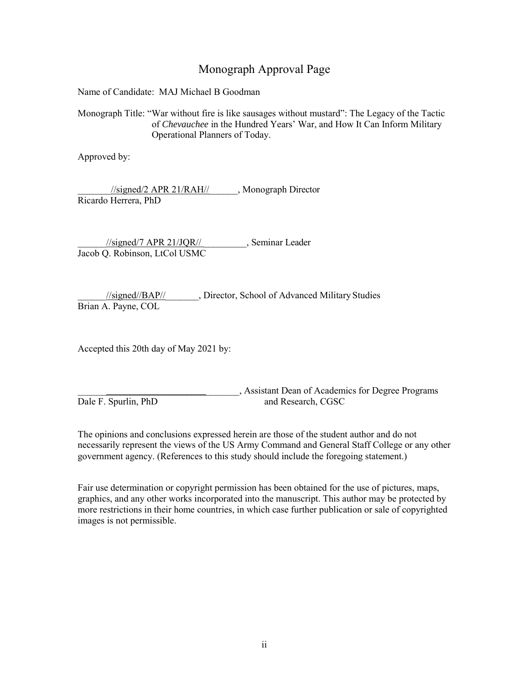## Monograph Approval Page

Name of Candidate: MAJ Michael B Goodman

Monograph Title: "War without fire is like sausages without mustard": The Legacy of the Tactic of *Chevauchee* in the Hundred Years' War, and How It Can Inform Military Operational Planners of Today.

Approved by:

\_\_\_\_\_\_\_//signed/2 APR 21/RAH//\_\_\_\_\_\_, Monograph Director Ricardo Herrera, PhD

//signed/7 APR 21/JQR// Seminar Leader Jacob Q. Robinson, LtCol USMC

\_\_\_\_\_\_//signed//BAP//\_\_\_\_\_\_\_, Director, School of Advanced Military Studies Brian A. Payne, COL

Accepted this 20th day of May 2021 by:

\_\_\_\_\_\_\_\_\_\_\_\_\_\_\_\_\_\_\_\_\_\_\_\_\_\_\_\_\_\_\_\_\_\_, Assistant Dean of Academics for Degree Programs Dale F. Spurlin, PhD and Research, CGSC

The opinions and conclusions expressed herein are those of the student author and do not necessarily represent the views of the US Army Command and General Staff College or any other government agency. (References to this study should include the foregoing statement.)

Fair use determination or copyright permission has been obtained for the use of pictures, maps, graphics, and any other works incorporated into the manuscript. This author may be protected by more restrictions in their home countries, in which case further publication or sale of copyrighted images is not permissible.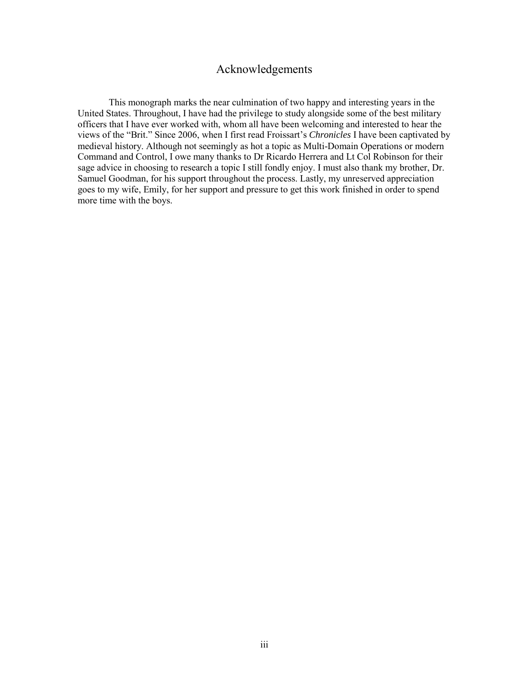### Acknowledgements

<span id="page-3-0"></span>This monograph marks the near culmination of two happy and interesting years in the United States. Throughout, I have had the privilege to study alongside some of the best military officers that I have ever worked with, whom all have been welcoming and interested to hear the views of the "Brit." Since 2006, when I first read Froissart's *Chronicles* I have been captivated by medieval history. Although not seemingly as hot a topic as Multi-Domain Operations or modern Command and Control, I owe many thanks to Dr Ricardo Herrera and Lt Col Robinson for their sage advice in choosing to research a topic I still fondly enjoy. I must also thank my brother, Dr. Samuel Goodman, for his support throughout the process. Lastly, my unreserved appreciation goes to my wife, Emily, for her support and pressure to get this work finished in order to spend more time with the boys.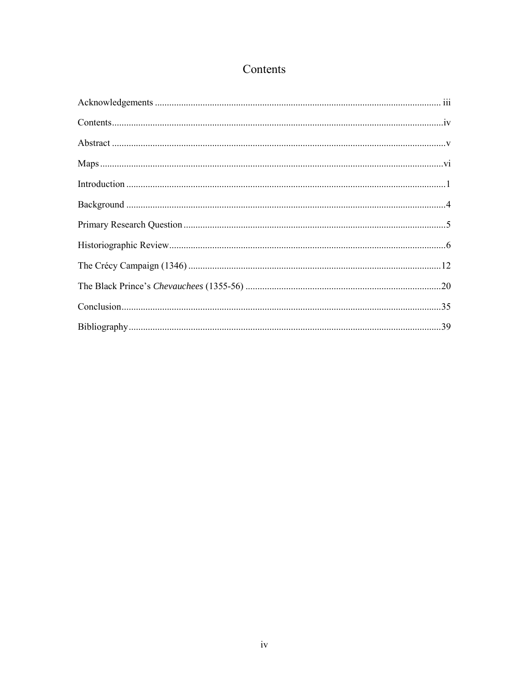# Contents

<span id="page-4-0"></span>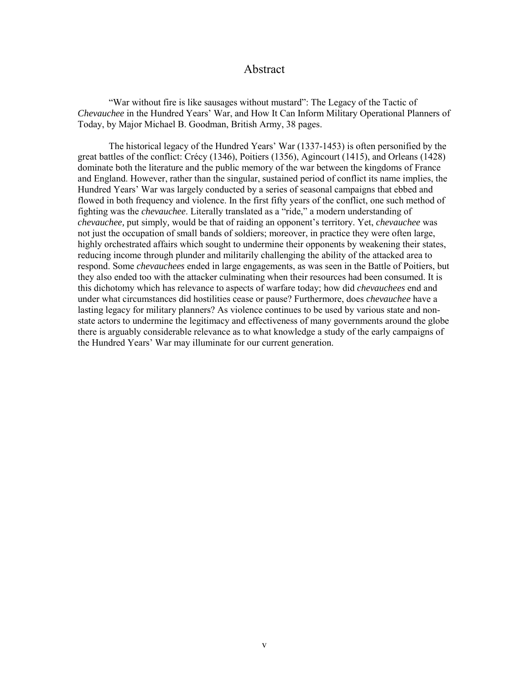#### Abstract

<span id="page-5-0"></span>"War without fire is like sausages without mustard": The Legacy of the Tactic of *Chevauchee* in the Hundred Years' War, and How It Can Inform Military Operational Planners of Today, by Major Michael B. Goodman, British Army, 38 pages.

The historical legacy of the Hundred Years' War (1337-1453) is often personified by the great battles of the conflict: Crécy (1346), Poitiers (1356), Agincourt (1415), and Orleans (1428) dominate both the literature and the public memory of the war between the kingdoms of France and England. However, rather than the singular, sustained period of conflict its name implies, the Hundred Years' War was largely conducted by a series of seasonal campaigns that ebbed and flowed in both frequency and violence. In the first fifty years of the conflict, one such method of fighting was the *chevauchee*. Literally translated as a "ride," a modern understanding of *chevauchee,* put simply*,* would be that of raiding an opponent's territory. Yet, *chevauchee* was not just the occupation of small bands of soldiers; moreover, in practice they were often large, highly orchestrated affairs which sought to undermine their opponents by weakening their states, reducing income through plunder and militarily challenging the ability of the attacked area to respond. Some *chevauchees* ended in large engagements, as was seen in the Battle of Poitiers, but they also ended too with the attacker culminating when their resources had been consumed. It is this dichotomy which has relevance to aspects of warfare today; how did *chevauchees* end and under what circumstances did hostilities cease or pause? Furthermore, does *chevauchee* have a lasting legacy for military planners? As violence continues to be used by various state and nonstate actors to undermine the legitimacy and effectiveness of many governments around the globe there is arguably considerable relevance as to what knowledge a study of the early campaigns of the Hundred Years' War may illuminate for our current generation.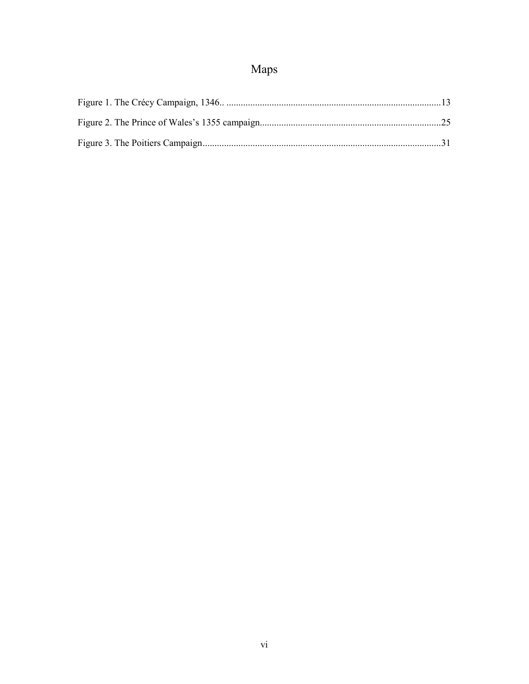# Maps

<span id="page-6-0"></span>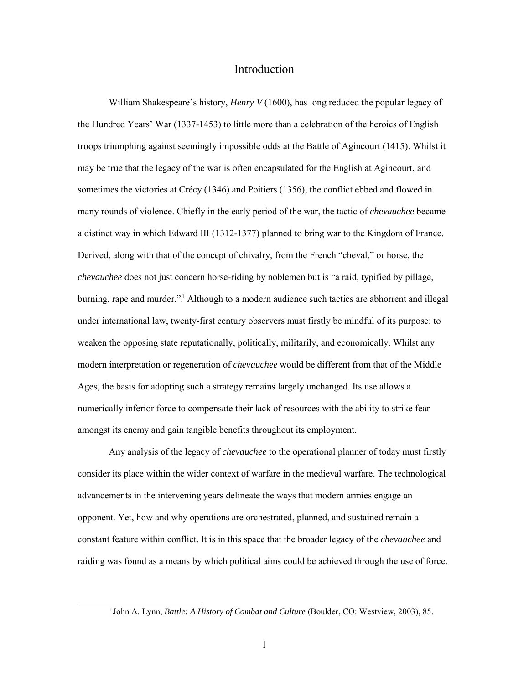#### Introduction

<span id="page-7-0"></span>William Shakespeare's history, *Henry V* (1600), has long reduced the popular legacy of the Hundred Years' War (1337-1453) to little more than a celebration of the heroics of English troops triumphing against seemingly impossible odds at the Battle of Agincourt (1415). Whilst it may be true that the legacy of the war is often encapsulated for the English at Agincourt, and sometimes the victories at Crécy (1346) and Poitiers (1356), the conflict ebbed and flowed in many rounds of violence. Chiefly in the early period of the war, the tactic of *chevauchee* became a distinct way in which Edward III (1312-1377) planned to bring war to the Kingdom of France. Derived, along with that of the concept of chivalry, from the French "cheval," or horse, the *chevauchee* does not just concern horse-riding by noblemen but is "a raid, typified by pillage, burning, rape and murder."<sup>1</sup> Although to a modern audience such tactics are abhorrent and illegal under international law, twenty-first century observers must firstly be mindful of its purpose: to weaken the opposing state reputationally, politically, militarily, and economically. Whilst any modern interpretation or regeneration of *chevauchee* would be different from that of the Middle Ages, the basis for adopting such a strategy remains largely unchanged. Its use allows a numerically inferior force to compensate their lack of resources with the ability to strike fear amongst its enemy and gain tangible benefits throughout its employment.

Any analysis of the legacy of *chevauchee* to the operational planner of today must firstly consider its place within the wider context of warfare in the medieval warfare. The technological advancements in the intervening years delineate the ways that modern armies engage an opponent. Yet, how and why operations are orchestrated, planned, and sustained remain a constant feature within conflict. It is in this space that the broader legacy of the *chevauchee* and raiding was found as a means by which political aims could be achieved through the use of force.

 <sup>1</sup> John A. Lynn, *Battle: A History of Combat and Culture* (Boulder, CO: Westview, 2003), 85.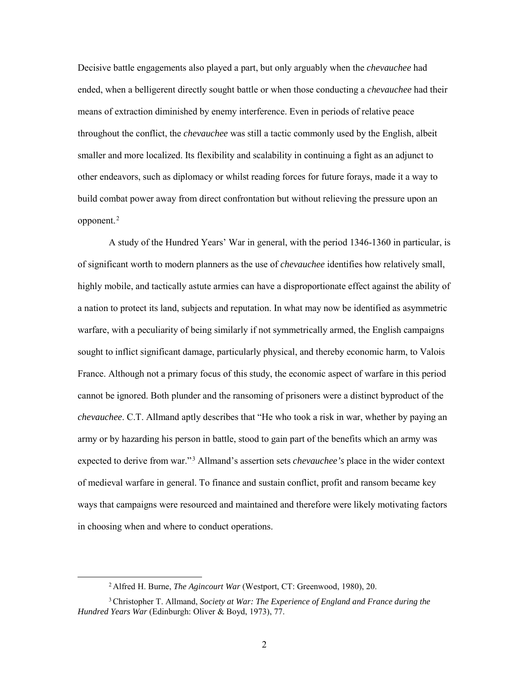Decisive battle engagements also played a part, but only arguably when the *chevauchee* had ended, when a belligerent directly sought battle or when those conducting a *chevauchee* had their means of extraction diminished by enemy interference. Even in periods of relative peace throughout the conflict, the *chevauchee* was still a tactic commonly used by the English, albeit smaller and more localized. Its flexibility and scalability in continuing a fight as an adjunct to other endeavors, such as diplomacy or whilst reading forces for future forays, made it a way to build combat power away from direct confrontation but without relieving the pressure upon an  $opponent.<sup>2</sup>$ 

A study of the Hundred Years' War in general, with the period 1346-1360 in particular, is of significant worth to modern planners as the use of *chevauchee* identifies how relatively small, highly mobile, and tactically astute armies can have a disproportionate effect against the ability of a nation to protect its land, subjects and reputation. In what may now be identified as asymmetric warfare, with a peculiarity of being similarly if not symmetrically armed, the English campaigns sought to inflict significant damage, particularly physical, and thereby economic harm, to Valois France. Although not a primary focus of this study, the economic aspect of warfare in this period cannot be ignored. Both plunder and the ransoming of prisoners were a distinct byproduct of the *chevauchee*. C.T. Allmand aptly describes that "He who took a risk in war, whether by paying an army or by hazarding his person in battle, stood to gain part of the benefits which an army was expected to derive from war."<sup>3</sup> Allmand's assertion sets *chevauchee's* place in the wider context of medieval warfare in general. To finance and sustain conflict, profit and ransom became key ways that campaigns were resourced and maintained and therefore were likely motivating factors in choosing when and where to conduct operations.

 <sup>2</sup> Alfred H. Burne, *The Agincourt War* (Westport, CT: Greenwood, 1980), 20.

<sup>3</sup>Christopher T. Allmand, *Society at War: The Experience of England and France during the Hundred Years War* (Edinburgh: Oliver & Boyd, 1973), 77.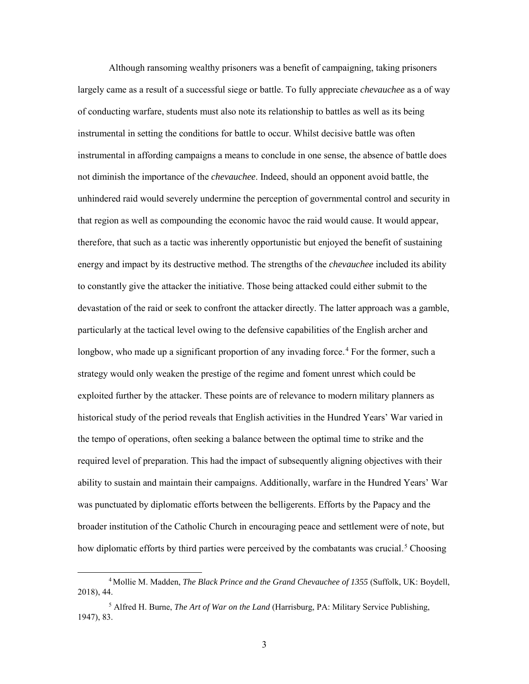Although ransoming wealthy prisoners was a benefit of campaigning, taking prisoners largely came as a result of a successful siege or battle. To fully appreciate *chevauchee* as a of way of conducting warfare, students must also note its relationship to battles as well as its being instrumental in setting the conditions for battle to occur. Whilst decisive battle was often instrumental in affording campaigns a means to conclude in one sense, the absence of battle does not diminish the importance of the *chevauchee*. Indeed, should an opponent avoid battle, the unhindered raid would severely undermine the perception of governmental control and security in that region as well as compounding the economic havoc the raid would cause. It would appear, therefore, that such as a tactic was inherently opportunistic but enjoyed the benefit of sustaining energy and impact by its destructive method. The strengths of the *chevauchee* included its ability to constantly give the attacker the initiative. Those being attacked could either submit to the devastation of the raid or seek to confront the attacker directly. The latter approach was a gamble, particularly at the tactical level owing to the defensive capabilities of the English archer and longbow, who made up a significant proportion of any invading force.<sup>4</sup> For the former, such a strategy would only weaken the prestige of the regime and foment unrest which could be exploited further by the attacker. These points are of relevance to modern military planners as historical study of the period reveals that English activities in the Hundred Years' War varied in the tempo of operations, often seeking a balance between the optimal time to strike and the required level of preparation. This had the impact of subsequently aligning objectives with their ability to sustain and maintain their campaigns. Additionally, warfare in the Hundred Years' War was punctuated by diplomatic efforts between the belligerents. Efforts by the Papacy and the broader institution of the Catholic Church in encouraging peace and settlement were of note, but how diplomatic efforts by third parties were perceived by the combatants was crucial.<sup>5</sup> Choosing

 <sup>4</sup> Mollie M. Madden, *The Black Prince and the Grand Chevauchee of 1355* (Suffolk, UK: Boydell, 2018), 44.

<sup>5</sup> Alfred H. Burne, *The Art of War on the Land* (Harrisburg, PA: Military Service Publishing, 1947), 83.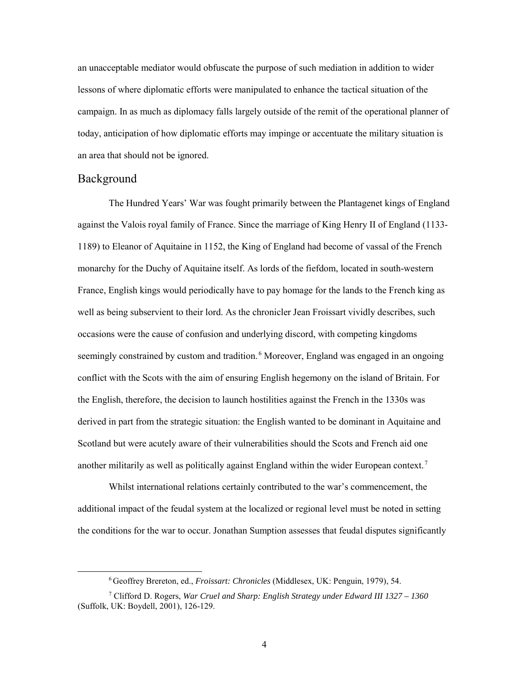an unacceptable mediator would obfuscate the purpose of such mediation in addition to wider lessons of where diplomatic efforts were manipulated to enhance the tactical situation of the campaign. In as much as diplomacy falls largely outside of the remit of the operational planner of today, anticipation of how diplomatic efforts may impinge or accentuate the military situation is an area that should not be ignored.

#### <span id="page-10-0"></span>Background

The Hundred Years' War was fought primarily between the Plantagenet kings of England against the Valois royal family of France. Since the marriage of King Henry II of England (1133- 1189) to Eleanor of Aquitaine in 1152, the King of England had become of vassal of the French monarchy for the Duchy of Aquitaine itself. As lords of the fiefdom, located in south-western France, English kings would periodically have to pay homage for the lands to the French king as well as being subservient to their lord. As the chronicler Jean Froissart vividly describes, such occasions were the cause of confusion and underlying discord, with competing kingdoms seemingly constrained by custom and tradition.<sup>6</sup> Moreover, England was engaged in an ongoing conflict with the Scots with the aim of ensuring English hegemony on the island of Britain. For the English, therefore, the decision to launch hostilities against the French in the 1330s was derived in part from the strategic situation: the English wanted to be dominant in Aquitaine and Scotland but were acutely aware of their vulnerabilities should the Scots and French aid one another militarily as well as politically against England within the wider European context.<sup>7</sup>

Whilst international relations certainly contributed to the war's commencement, the additional impact of the feudal system at the localized or regional level must be noted in setting the conditions for the war to occur. Jonathan Sumption assesses that feudal disputes significantly

 <sup>6</sup> Geoffrey Brereton, ed., *Froissart: Chronicles* (Middlesex, UK: Penguin, 1979), 54.

<sup>7</sup> Clifford D. Rogers, *War Cruel and Sharp: English Strategy under Edward III 1327 – 1360* (Suffolk, UK: Boydell, 2001), 126-129.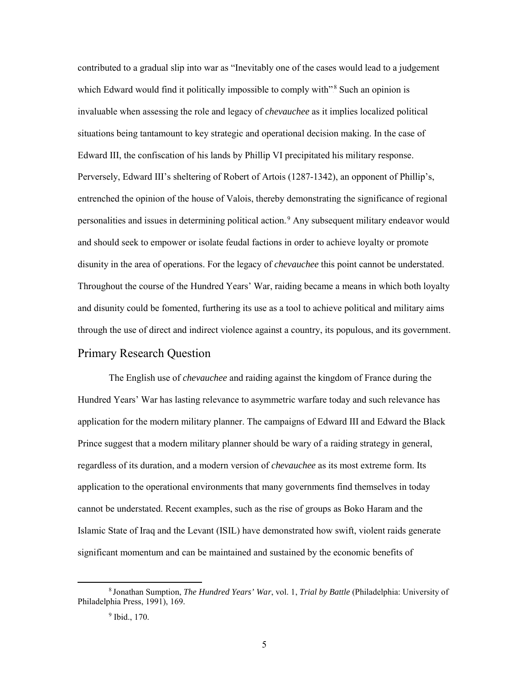contributed to a gradual slip into war as "Inevitably one of the cases would lead to a judgement which Edward would find it politically impossible to comply with"<sup>8</sup> Such an opinion is invaluable when assessing the role and legacy of *chevauchee* as it implies localized political situations being tantamount to key strategic and operational decision making. In the case of Edward III, the confiscation of his lands by Phillip VI precipitated his military response. Perversely, Edward III's sheltering of Robert of Artois (1287-1342), an opponent of Phillip's, entrenched the opinion of the house of Valois, thereby demonstrating the significance of regional personalities and issues in determining political action.<sup>9</sup> Any subsequent military endeavor would and should seek to empower or isolate feudal factions in order to achieve loyalty or promote disunity in the area of operations. For the legacy of *chevauchee* this point cannot be understated. Throughout the course of the Hundred Years' War, raiding became a means in which both loyalty and disunity could be fomented, furthering its use as a tool to achieve political and military aims through the use of direct and indirect violence against a country, its populous, and its government.

### <span id="page-11-0"></span>Primary Research Question

The English use of *chevauchee* and raiding against the kingdom of France during the Hundred Years' War has lasting relevance to asymmetric warfare today and such relevance has application for the modern military planner. The campaigns of Edward III and Edward the Black Prince suggest that a modern military planner should be wary of a raiding strategy in general, regardless of its duration, and a modern version of *chevauchee* as its most extreme form. Its application to the operational environments that many governments find themselves in today cannot be understated. Recent examples, such as the rise of groups as Boko Haram and the Islamic State of Iraq and the Levant (ISIL) have demonstrated how swift, violent raids generate significant momentum and can be maintained and sustained by the economic benefits of

 <sup>8</sup> Jonathan Sumption, *The Hundred Years' War*, vol. 1, *Trial by Battle* (Philadelphia: University of Philadelphia Press, 1991), 169.

<sup>&</sup>lt;sup>9</sup> Ibid., 170.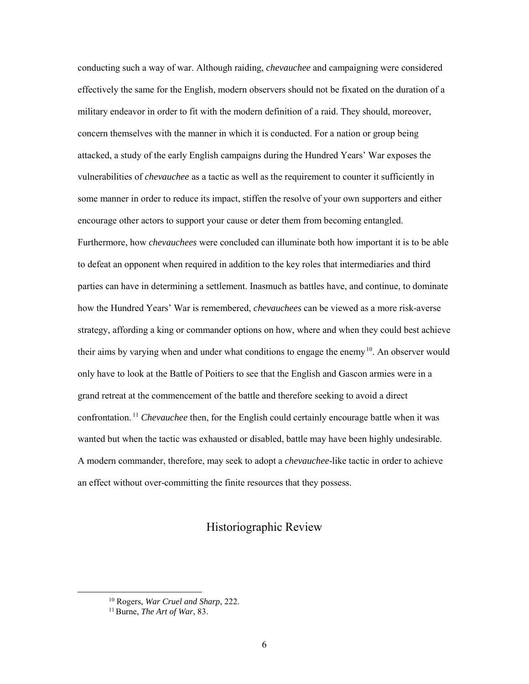conducting such a way of war. Although raiding, *chevauchee* and campaigning were considered effectively the same for the English, modern observers should not be fixated on the duration of a military endeavor in order to fit with the modern definition of a raid. They should, moreover, concern themselves with the manner in which it is conducted. For a nation or group being attacked, a study of the early English campaigns during the Hundred Years' War exposes the vulnerabilities of *chevauchee* as a tactic as well as the requirement to counter it sufficiently in some manner in order to reduce its impact, stiffen the resolve of your own supporters and either encourage other actors to support your cause or deter them from becoming entangled. Furthermore, how *chevauchees* were concluded can illuminate both how important it is to be able to defeat an opponent when required in addition to the key roles that intermediaries and third parties can have in determining a settlement. Inasmuch as battles have, and continue, to dominate how the Hundred Years' War is remembered, *chevauchees* can be viewed as a more risk-averse strategy, affording a king or commander options on how, where and when they could best achieve their aims by varying when and under what conditions to engage the enemy<sup>10</sup>. An observer would only have to look at the Battle of Poitiers to see that the English and Gascon armies were in a grand retreat at the commencement of the battle and therefore seeking to avoid a direct confrontation.<sup>11</sup> *Chevauchee* then, for the English could certainly encourage battle when it was wanted but when the tactic was exhausted or disabled, battle may have been highly undesirable. A modern commander, therefore, may seek to adopt a *chevauchee*-like tactic in order to achieve an effect without over-committing the finite resources that they possess.

#### Historiographic Review

<span id="page-12-0"></span> <sup>10</sup> Rogers, *War Cruel and Sharp*, 222.

<sup>11</sup>Burne, *The Art of War*, 83.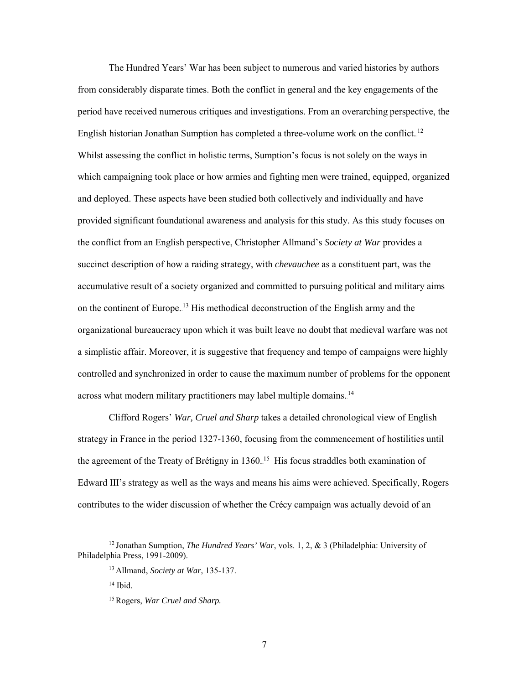The Hundred Years' War has been subject to numerous and varied histories by authors from considerably disparate times. Both the conflict in general and the key engagements of the period have received numerous critiques and investigations. From an overarching perspective, the English historian Jonathan Sumption has completed a three-volume work on the conflict.<sup>12</sup> Whilst assessing the conflict in holistic terms, Sumption's focus is not solely on the ways in which campaigning took place or how armies and fighting men were trained, equipped, organized and deployed. These aspects have been studied both collectively and individually and have provided significant foundational awareness and analysis for this study. As this study focuses on the conflict from an English perspective, Christopher Allmand's *Society at War* provides a succinct description of how a raiding strategy, with *chevauchee* as a constituent part, was the accumulative result of a society organized and committed to pursuing political and military aims on the continent of Europe.<sup>13</sup> His methodical deconstruction of the English army and the organizational bureaucracy upon which it was built leave no doubt that medieval warfare was not a simplistic affair. Moreover, it is suggestive that frequency and tempo of campaigns were highly controlled and synchronized in order to cause the maximum number of problems for the opponent across what modern military practitioners may label multiple domains.<sup>14</sup>

Clifford Rogers' *War, Cruel and Sharp* takes a detailed chronological view of English strategy in France in the period 1327-1360, focusing from the commencement of hostilities until the agreement of the Treaty of Brétigny in 1360.<sup>15</sup> His focus straddles both examination of Edward III's strategy as well as the ways and means his aims were achieved. Specifically, Rogers contributes to the wider discussion of whether the Crécy campaign was actually devoid of an

 <sup>12</sup> Jonathan Sumption, *The Hundred Years' War*, vols. 1, 2, & 3 (Philadelphia: University of Philadelphia Press, 1991-2009).

<sup>13</sup> Allmand, *Society at War*, 135-137.

<sup>14</sup> Ibid.

<sup>15</sup>Rogers, *War Cruel and Sharp.*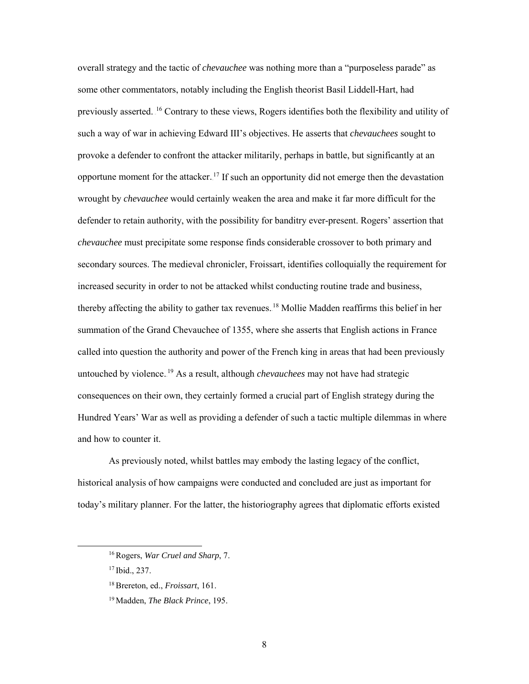overall strategy and the tactic of *chevauchee* was nothing more than a "purposeless parade" as some other commentators, notably including the English theorist Basil Liddell-Hart, had previously asserted. <sup>16</sup> Contrary to these views, Rogers identifies both the flexibility and utility of such a way of war in achieving Edward III's objectives. He asserts that *chevauchees* sought to provoke a defender to confront the attacker militarily, perhaps in battle, but significantly at an opportune moment for the attacker.<sup>17</sup> If such an opportunity did not emerge then the devastation wrought by *chevauchee* would certainly weaken the area and make it far more difficult for the defender to retain authority, with the possibility for banditry ever-present. Rogers' assertion that *chevauchee* must precipitate some response finds considerable crossover to both primary and secondary sources. The medieval chronicler, Froissart, identifies colloquially the requirement for increased security in order to not be attacked whilst conducting routine trade and business, thereby affecting the ability to gather tax revenues.<sup>18</sup> Mollie Madden reaffirms this belief in her summation of the Grand Chevauchee of 1355, where she asserts that English actions in France called into question the authority and power of the French king in areas that had been previously untouched by violence.<sup>19</sup> As a result, although *chevauchees* may not have had strategic consequences on their own, they certainly formed a crucial part of English strategy during the Hundred Years' War as well as providing a defender of such a tactic multiple dilemmas in where and how to counter it.

As previously noted, whilst battles may embody the lasting legacy of the conflict, historical analysis of how campaigns were conducted and concluded are just as important for today's military planner. For the latter, the historiography agrees that diplomatic efforts existed

 <sup>16</sup>Rogers, *War Cruel and Sharp*, 7.

<sup>17</sup> Ibid., 237.

<sup>18</sup>Brereton, ed., *Froissart*, 161.

<sup>19</sup> Madden, *The Black Prince*, 195.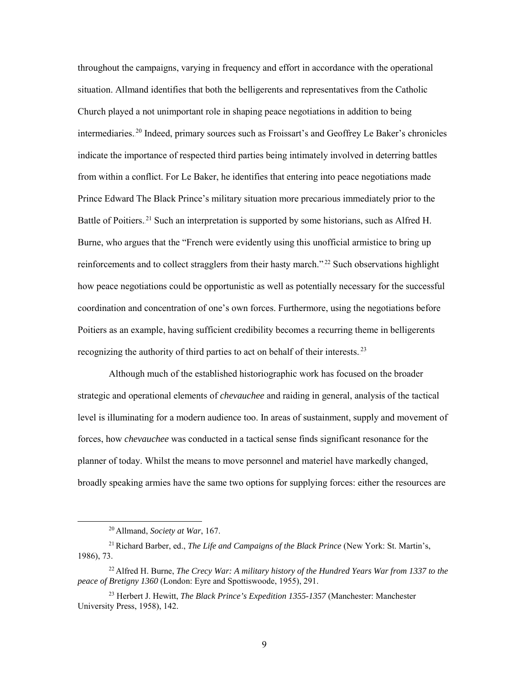throughout the campaigns, varying in frequency and effort in accordance with the operational situation. Allmand identifies that both the belligerents and representatives from the Catholic Church played a not unimportant role in shaping peace negotiations in addition to being intermediaries.<sup>20</sup> Indeed, primary sources such as Froissart's and Geoffrey Le Baker's chronicles indicate the importance of respected third parties being intimately involved in deterring battles from within a conflict. For Le Baker, he identifies that entering into peace negotiations made Prince Edward The Black Prince's military situation more precarious immediately prior to the Battle of Poitiers.<sup>21</sup> Such an interpretation is supported by some historians, such as Alfred H. Burne, who argues that the "French were evidently using this unofficial armistice to bring up reinforcements and to collect stragglers from their hasty march."<sup>22</sup> Such observations highlight how peace negotiations could be opportunistic as well as potentially necessary for the successful coordination and concentration of one's own forces. Furthermore, using the negotiations before Poitiers as an example, having sufficient credibility becomes a recurring theme in belligerents recognizing the authority of third parties to act on behalf of their interests.<sup>23</sup>

Although much of the established historiographic work has focused on the broader strategic and operational elements of *chevauchee* and raiding in general, analysis of the tactical level is illuminating for a modern audience too. In areas of sustainment, supply and movement of forces, how *chevauchee* was conducted in a tactical sense finds significant resonance for the planner of today. Whilst the means to move personnel and materiel have markedly changed, broadly speaking armies have the same two options for supplying forces: either the resources are

 <sup>20</sup> Allmand, *Society at War*, 167.

<sup>21</sup>Richard Barber, ed., *The Life and Campaigns of the Black Prince* (New York: St. Martin's, 1986), 73.

<sup>22</sup> Alfred H. Burne, *The Crecy War: A military history of the Hundred Years War from 1337 to the peace of Bretigny 1360* (London: Eyre and Spottiswoode, 1955), 291.

<sup>23</sup> Herbert J. Hewitt, *The Black Prince's Expedition 1355-1357* (Manchester: Manchester University Press, 1958), 142.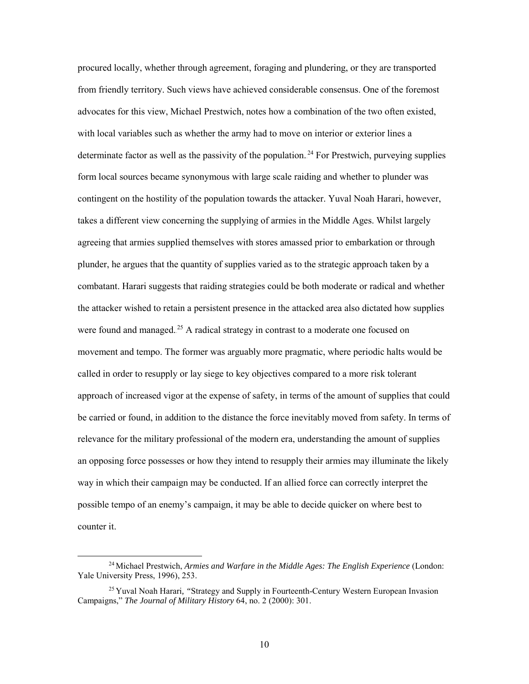procured locally, whether through agreement, foraging and plundering, or they are transported from friendly territory. Such views have achieved considerable consensus. One of the foremost advocates for this view, Michael Prestwich, notes how a combination of the two often existed, with local variables such as whether the army had to move on interior or exterior lines a determinate factor as well as the passivity of the population.<sup>24</sup> For Prestwich, purveying supplies form local sources became synonymous with large scale raiding and whether to plunder was contingent on the hostility of the population towards the attacker. Yuval Noah Harari, however, takes a different view concerning the supplying of armies in the Middle Ages. Whilst largely agreeing that armies supplied themselves with stores amassed prior to embarkation or through plunder, he argues that the quantity of supplies varied as to the strategic approach taken by a combatant. Harari suggests that raiding strategies could be both moderate or radical and whether the attacker wished to retain a persistent presence in the attacked area also dictated how supplies were found and managed.<sup>25</sup> A radical strategy in contrast to a moderate one focused on movement and tempo. The former was arguably more pragmatic, where periodic halts would be called in order to resupply or lay siege to key objectives compared to a more risk tolerant approach of increased vigor at the expense of safety, in terms of the amount of supplies that could be carried or found, in addition to the distance the force inevitably moved from safety. In terms of relevance for the military professional of the modern era, understanding the amount of supplies an opposing force possesses or how they intend to resupply their armies may illuminate the likely way in which their campaign may be conducted. If an allied force can correctly interpret the possible tempo of an enemy's campaign, it may be able to decide quicker on where best to counter it.

 <sup>24</sup> Michael Prestwich, *Armies and Warfare in the Middle Ages: The English Experience* (London: Yale University Press, 1996), 253.

<sup>25</sup> Yuval Noah Harari*, "*Strategy and Supply in Fourteenth-Century Western European Invasion Campaigns," *The Journal of Military History* 64, no. 2 (2000): 301.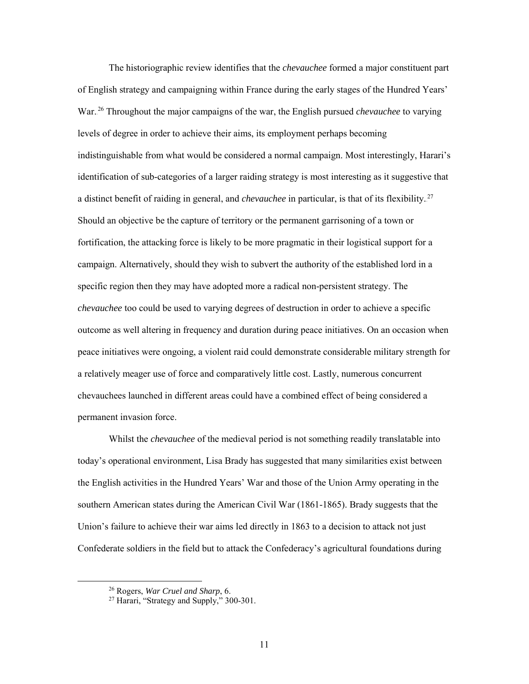The historiographic review identifies that the *chevauchee* formed a major constituent part of English strategy and campaigning within France during the early stages of the Hundred Years' War.<sup>26</sup> Throughout the major campaigns of the war, the English pursued *chevauchee* to varying levels of degree in order to achieve their aims, its employment perhaps becoming indistinguishable from what would be considered a normal campaign. Most interestingly, Harari's identification of sub-categories of a larger raiding strategy is most interesting as it suggestive that a distinct benefit of raiding in general, and *chevauchee* in particular, is that of its flexibility.<sup>27</sup> Should an objective be the capture of territory or the permanent garrisoning of a town or fortification, the attacking force is likely to be more pragmatic in their logistical support for a campaign. Alternatively, should they wish to subvert the authority of the established lord in a specific region then they may have adopted more a radical non-persistent strategy. The *chevauchee* too could be used to varying degrees of destruction in order to achieve a specific outcome as well altering in frequency and duration during peace initiatives. On an occasion when peace initiatives were ongoing, a violent raid could demonstrate considerable military strength for a relatively meager use of force and comparatively little cost. Lastly, numerous concurrent chevauchees launched in different areas could have a combined effect of being considered a permanent invasion force.

Whilst the *chevauchee* of the medieval period is not something readily translatable into today's operational environment, Lisa Brady has suggested that many similarities exist between the English activities in the Hundred Years' War and those of the Union Army operating in the southern American states during the American Civil War (1861-1865). Brady suggests that the Union's failure to achieve their war aims led directly in 1863 to a decision to attack not just Confederate soldiers in the field but to attack the Confederacy's agricultural foundations during

 <sup>26</sup> Rogers, *War Cruel and Sharp*, 6.

<sup>&</sup>lt;sup>27</sup> Harari, "Strategy and Supply," 300-301.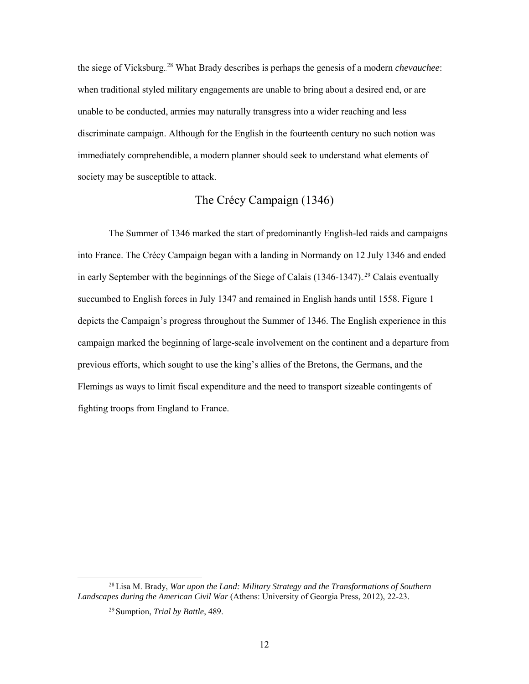the siege of Vicksburg.<sup>28</sup> What Brady describes is perhaps the genesis of a modern *chevauchee*: when traditional styled military engagements are unable to bring about a desired end, or are unable to be conducted, armies may naturally transgress into a wider reaching and less discriminate campaign. Although for the English in the fourteenth century no such notion was immediately comprehendible, a modern planner should seek to understand what elements of society may be susceptible to attack.

# The Crécy Campaign (1346)

<span id="page-18-0"></span>The Summer of 1346 marked the start of predominantly English-led raids and campaigns into France. The Crécy Campaign began with a landing in Normandy on 12 July 1346 and ended in early September with the beginnings of the Siege of Calais  $(1346-1347)$ .<sup>29</sup> Calais eventually succumbed to English forces in July 1347 and remained in English hands until 1558. Figure 1 depicts the Campaign's progress throughout the Summer of 1346. The English experience in this campaign marked the beginning of large-scale involvement on the continent and a departure from previous efforts, which sought to use the king's allies of the Bretons, the Germans, and the Flemings as ways to limit fiscal expenditure and the need to transport sizeable contingents of fighting troops from England to France.

 <sup>28</sup> Lisa M. Brady, *War upon the Land: Military Strategy and the Transformations of Southern Landscapes during the American Civil War* (Athens: University of Georgia Press, 2012), 22-23.

<sup>29</sup> Sumption, *Trial by Battle*, 489.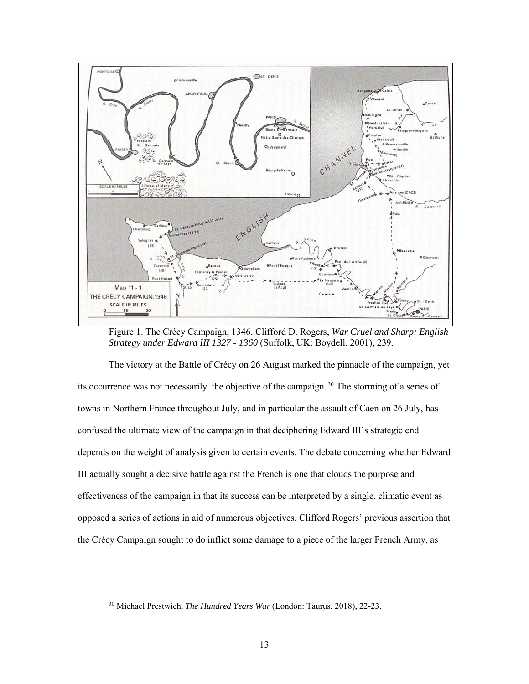

Figure 1. The Crécy Campaign, 1346. Clifford D. Rogers, *War Cruel and Sharp: English Strategy under Edward III 1327 - 1360* (Suffolk, UK: Boydell, 2001), 239.

The victory at the Battle of Crécy on 26 August marked the pinnacle of the campaign, yet its occurrence was not necessarily the objective of the campaign.<sup>30</sup> The storming of a series of towns in Northern France throughout July, and in particular the assault of Caen on 26 July, has confused the ultimate view of the campaign in that deciphering Edward III's strategic end depends on the weight of analysis given to certain events. The debate concerning whether Edward III actually sought a decisive battle against the French is one that clouds the purpose and effectiveness of the campaign in that its success can be interpreted by a single, climatic event as opposed a series of actions in aid of numerous objectives. Clifford Rogers' previous assertion that the Crécy Campaign sought to do inflict some damage to a piece of the larger French Army, as

 <sup>30</sup> Michael Prestwich, *The Hundred Years War* (London: Taurus, 2018), 22-23.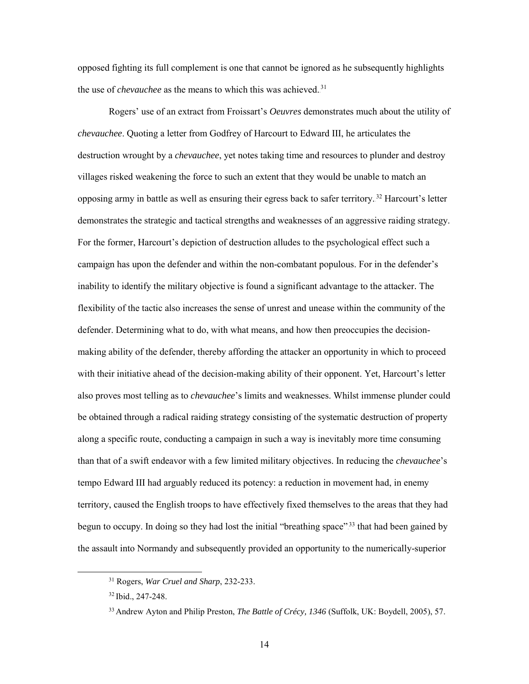opposed fighting its full complement is one that cannot be ignored as he subsequently highlights the use of *chevauchee* as the means to which this was achieved.<sup>31</sup>

Rogers' use of an extract from Froissart's *Oeuvres* demonstrates much about the utility of *chevauchee*. Quoting a letter from Godfrey of Harcourt to Edward III, he articulates the destruction wrought by a *chevauchee*, yet notes taking time and resources to plunder and destroy villages risked weakening the force to such an extent that they would be unable to match an opposing army in battle as well as ensuring their egress back to safer territory.<sup>32</sup> Harcourt's letter demonstrates the strategic and tactical strengths and weaknesses of an aggressive raiding strategy. For the former, Harcourt's depiction of destruction alludes to the psychological effect such a campaign has upon the defender and within the non-combatant populous. For in the defender's inability to identify the military objective is found a significant advantage to the attacker. The flexibility of the tactic also increases the sense of unrest and unease within the community of the defender. Determining what to do, with what means, and how then preoccupies the decisionmaking ability of the defender, thereby affording the attacker an opportunity in which to proceed with their initiative ahead of the decision-making ability of their opponent. Yet, Harcourt's letter also proves most telling as to *chevauchee*'s limits and weaknesses. Whilst immense plunder could be obtained through a radical raiding strategy consisting of the systematic destruction of property along a specific route, conducting a campaign in such a way is inevitably more time consuming than that of a swift endeavor with a few limited military objectives. In reducing the *chevauchee*'s tempo Edward III had arguably reduced its potency: a reduction in movement had, in enemy territory, caused the English troops to have effectively fixed themselves to the areas that they had begun to occupy. In doing so they had lost the initial "breathing space"<sup>33</sup> that had been gained by the assault into Normandy and subsequently provided an opportunity to the numerically-superior

 <sup>31</sup> Rogers, *War Cruel and Sharp*, 232-233.

<sup>32</sup> Ibid., 247-248.

<sup>33</sup> Andrew Ayton and Philip Preston, *The Battle of Crécy, 1346* (Suffolk, UK: Boydell, 2005), 57.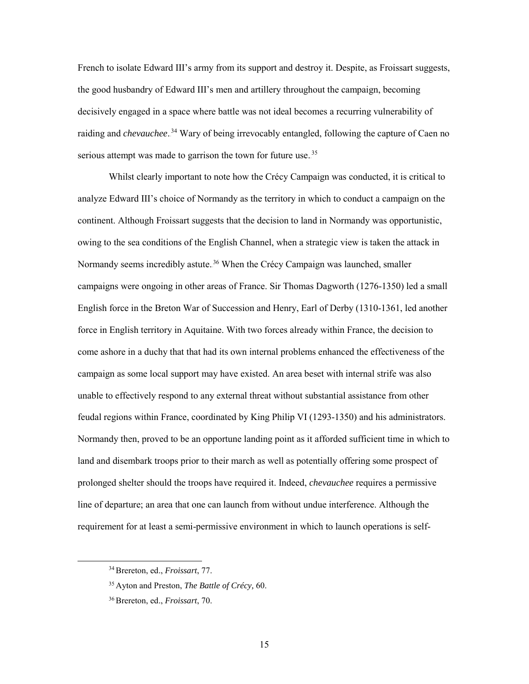French to isolate Edward III's army from its support and destroy it. Despite, as Froissart suggests, the good husbandry of Edward III's men and artillery throughout the campaign, becoming decisively engaged in a space where battle was not ideal becomes a recurring vulnerability of raiding and *chevauchee*.<sup>34</sup> Wary of being irrevocably entangled, following the capture of Caen no serious attempt was made to garrison the town for future use.<sup>35</sup>

Whilst clearly important to note how the Crécy Campaign was conducted, it is critical to analyze Edward III's choice of Normandy as the territory in which to conduct a campaign on the continent. Although Froissart suggests that the decision to land in Normandy was opportunistic, owing to the sea conditions of the English Channel, when a strategic view is taken the attack in Normandy seems incredibly astute.<sup>36</sup> When the Crécy Campaign was launched, smaller campaigns were ongoing in other areas of France. Sir Thomas Dagworth (1276-1350) led a small English force in the Breton War of Succession and Henry, Earl of Derby (1310-1361, led another force in English territory in Aquitaine. With two forces already within France, the decision to come ashore in a duchy that that had its own internal problems enhanced the effectiveness of the campaign as some local support may have existed. An area beset with internal strife was also unable to effectively respond to any external threat without substantial assistance from other feudal regions within France, coordinated by King Philip VI (1293-1350) and his administrators. Normandy then, proved to be an opportune landing point as it afforded sufficient time in which to land and disembark troops prior to their march as well as potentially offering some prospect of prolonged shelter should the troops have required it. Indeed, *chevauchee* requires a permissive line of departure; an area that one can launch from without undue interference. Although the requirement for at least a semi-permissive environment in which to launch operations is self-

 <sup>34</sup>Brereton, ed., *Froissart*, 77.

<sup>35</sup> Ayton and Preston, *The Battle of Crécy,* 60.

<sup>36</sup>Brereton, ed., *Froissart*, 70.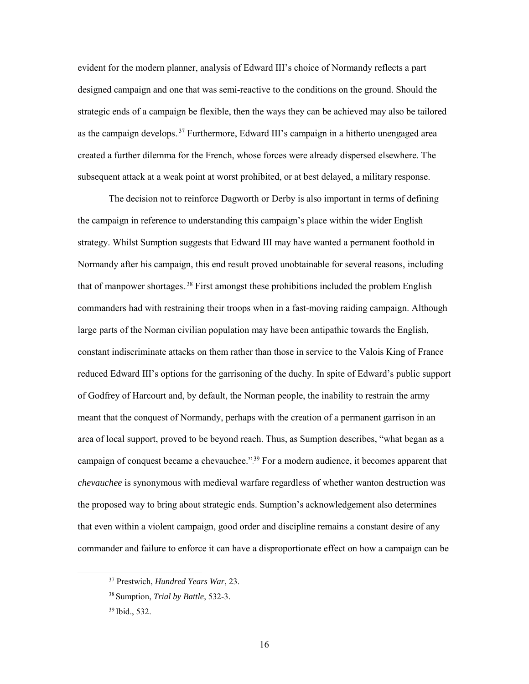evident for the modern planner, analysis of Edward III's choice of Normandy reflects a part designed campaign and one that was semi-reactive to the conditions on the ground. Should the strategic ends of a campaign be flexible, then the ways they can be achieved may also be tailored as the campaign develops.<sup>37</sup> Furthermore, Edward III's campaign in a hitherto unengaged area created a further dilemma for the French, whose forces were already dispersed elsewhere. The subsequent attack at a weak point at worst prohibited, or at best delayed, a military response.

The decision not to reinforce Dagworth or Derby is also important in terms of defining the campaign in reference to understanding this campaign's place within the wider English strategy. Whilst Sumption suggests that Edward III may have wanted a permanent foothold in Normandy after his campaign, this end result proved unobtainable for several reasons, including that of manpower shortages.<sup>38</sup> First amongst these prohibitions included the problem English commanders had with restraining their troops when in a fast-moving raiding campaign. Although large parts of the Norman civilian population may have been antipathic towards the English, constant indiscriminate attacks on them rather than those in service to the Valois King of France reduced Edward III's options for the garrisoning of the duchy. In spite of Edward's public support of Godfrey of Harcourt and, by default, the Norman people, the inability to restrain the army meant that the conquest of Normandy, perhaps with the creation of a permanent garrison in an area of local support, proved to be beyond reach. Thus, as Sumption describes, "what began as a campaign of conquest became a chevauchee."<sup>39</sup> For a modern audience, it becomes apparent that *chevauchee* is synonymous with medieval warfare regardless of whether wanton destruction was the proposed way to bring about strategic ends. Sumption's acknowledgement also determines that even within a violent campaign, good order and discipline remains a constant desire of any commander and failure to enforce it can have a disproportionate effect on how a campaign can be

 <sup>37</sup> Prestwich, *Hundred Years War*, 23.

<sup>38</sup> Sumption, *Trial by Battle*, 532-3.

<sup>39</sup> Ibid., 532.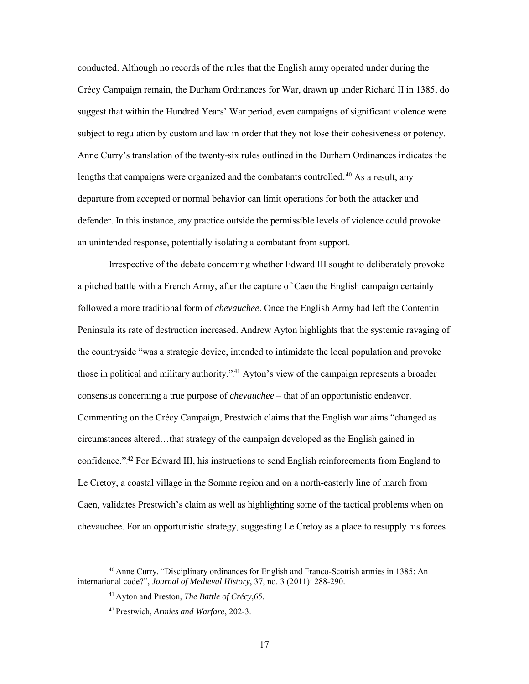conducted. Although no records of the rules that the English army operated under during the Crécy Campaign remain, the Durham Ordinances for War, drawn up under Richard II in 1385, do suggest that within the Hundred Years' War period, even campaigns of significant violence were subject to regulation by custom and law in order that they not lose their cohesiveness or potency. Anne Curry's translation of the twenty-six rules outlined in the Durham Ordinances indicates the lengths that campaigns were organized and the combatants controlled.<sup>40</sup> As a result, any departure from accepted or normal behavior can limit operations for both the attacker and defender. In this instance, any practice outside the permissible levels of violence could provoke an unintended response, potentially isolating a combatant from support.

Irrespective of the debate concerning whether Edward III sought to deliberately provoke a pitched battle with a French Army, after the capture of Caen the English campaign certainly followed a more traditional form of *chevauchee*. Once the English Army had left the Contentin Peninsula its rate of destruction increased. Andrew Ayton highlights that the systemic ravaging of the countryside "was a strategic device, intended to intimidate the local population and provoke those in political and military authority."<sup>41</sup> Ayton's view of the campaign represents a broader consensus concerning a true purpose of *chevauchee* – that of an opportunistic endeavor. Commenting on the Crécy Campaign, Prestwich claims that the English war aims "changed as circumstances altered…that strategy of the campaign developed as the English gained in confidence."<sup>42</sup> For Edward III, his instructions to send English reinforcements from England to Le Cretoy, a coastal village in the Somme region and on a north-easterly line of march from Caen, validates Prestwich's claim as well as highlighting some of the tactical problems when on chevauchee. For an opportunistic strategy, suggesting Le Cretoy as a place to resupply his forces

 <sup>40</sup> Anne Curry, "Disciplinary ordinances for English and Franco-Scottish armies in 1385: An international code?", *Journal of Medieval History*, 37, no. 3 (2011): 288-290.

<sup>41</sup> Ayton and Preston, *The Battle of Crécy,*65.

<sup>42</sup> Prestwich, *Armies and Warfare*, 202-3.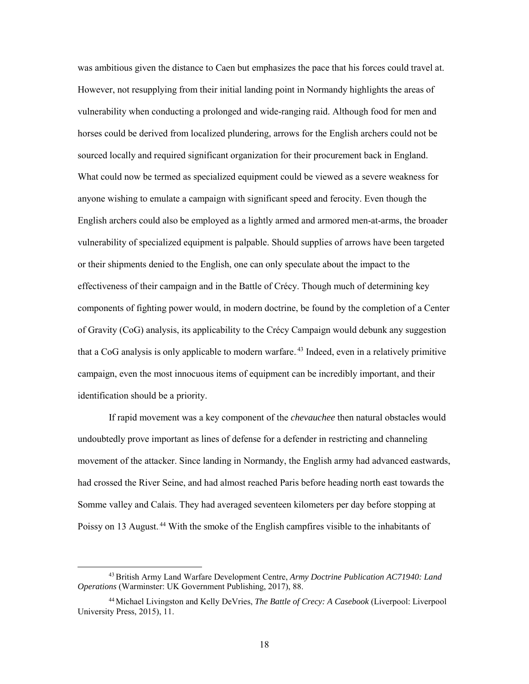was ambitious given the distance to Caen but emphasizes the pace that his forces could travel at. However, not resupplying from their initial landing point in Normandy highlights the areas of vulnerability when conducting a prolonged and wide-ranging raid. Although food for men and horses could be derived from localized plundering, arrows for the English archers could not be sourced locally and required significant organization for their procurement back in England. What could now be termed as specialized equipment could be viewed as a severe weakness for anyone wishing to emulate a campaign with significant speed and ferocity. Even though the English archers could also be employed as a lightly armed and armored men-at-arms, the broader vulnerability of specialized equipment is palpable. Should supplies of arrows have been targeted or their shipments denied to the English, one can only speculate about the impact to the effectiveness of their campaign and in the Battle of Crécy. Though much of determining key components of fighting power would, in modern doctrine, be found by the completion of a Center of Gravity (CoG) analysis, its applicability to the Crécy Campaign would debunk any suggestion that a CoG analysis is only applicable to modern warfare.<sup>43</sup> Indeed, even in a relatively primitive campaign, even the most innocuous items of equipment can be incredibly important, and their identification should be a priority.

If rapid movement was a key component of the *chevauchee* then natural obstacles would undoubtedly prove important as lines of defense for a defender in restricting and channeling movement of the attacker. Since landing in Normandy, the English army had advanced eastwards, had crossed the River Seine, and had almost reached Paris before heading north east towards the Somme valley and Calais. They had averaged seventeen kilometers per day before stopping at Poissy on 13 August.<sup>44</sup> With the smoke of the English campfires visible to the inhabitants of

 <sup>43</sup>British Army Land Warfare Development Centre, *Army Doctrine Publication AC71940: Land Operations* (Warminster: UK Government Publishing, 2017), 88.

<sup>44</sup> Michael Livingston and Kelly DeVries, *The Battle of Crecy: A Casebook* (Liverpool: Liverpool University Press, 2015), 11.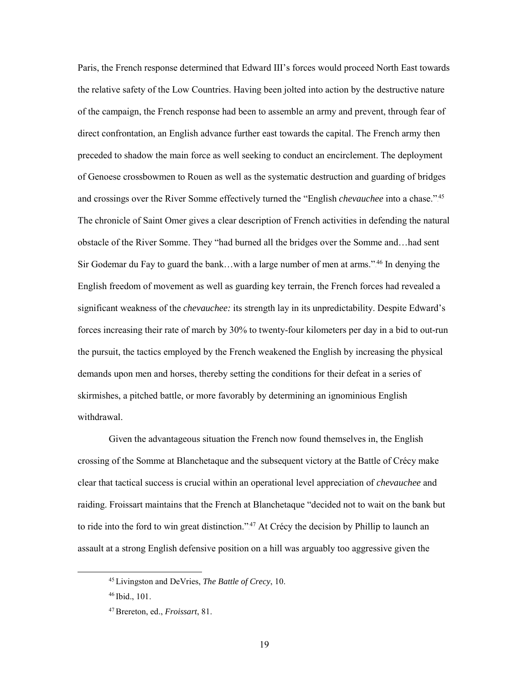Paris, the French response determined that Edward III's forces would proceed North East towards the relative safety of the Low Countries. Having been jolted into action by the destructive nature of the campaign, the French response had been to assemble an army and prevent, through fear of direct confrontation, an English advance further east towards the capital. The French army then preceded to shadow the main force as well seeking to conduct an encirclement. The deployment of Genoese crossbowmen to Rouen as well as the systematic destruction and guarding of bridges and crossings over the River Somme effectively turned the "English *chevauchee* into a chase."<sup>45</sup> The chronicle of Saint Omer gives a clear description of French activities in defending the natural obstacle of the River Somme. They "had burned all the bridges over the Somme and…had sent Sir Godemar du Fay to guard the bank...with a large number of men at arms."<sup>46</sup> In denying the English freedom of movement as well as guarding key terrain, the French forces had revealed a significant weakness of the *chevauchee:* its strength lay in its unpredictability. Despite Edward's forces increasing their rate of march by 30% to twenty-four kilometers per day in a bid to out-run the pursuit, the tactics employed by the French weakened the English by increasing the physical demands upon men and horses, thereby setting the conditions for their defeat in a series of skirmishes, a pitched battle, or more favorably by determining an ignominious English withdrawal.

Given the advantageous situation the French now found themselves in, the English crossing of the Somme at Blanchetaque and the subsequent victory at the Battle of Crécy make clear that tactical success is crucial within an operational level appreciation of *chevauchee* and raiding. Froissart maintains that the French at Blanchetaque "decided not to wait on the bank but to ride into the ford to win great distinction."<sup>47</sup> At Crécy the decision by Phillip to launch an assault at a strong English defensive position on a hill was arguably too aggressive given the

 <sup>45</sup> Livingston and DeVries, *The Battle of Crecy*, 10.

<sup>46</sup> Ibid., 101.

<sup>47</sup>Brereton, ed., *Froissart*, 81.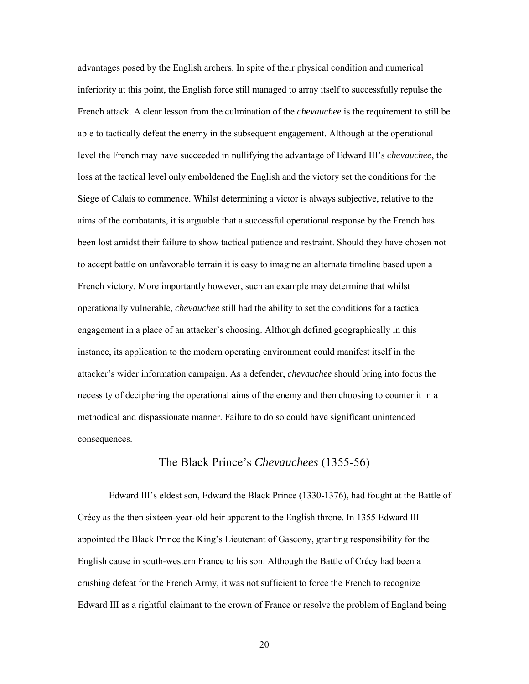advantages posed by the English archers. In spite of their physical condition and numerical inferiority at this point, the English force still managed to array itself to successfully repulse the French attack. A clear lesson from the culmination of the *chevauchee* is the requirement to still be able to tactically defeat the enemy in the subsequent engagement. Although at the operational level the French may have succeeded in nullifying the advantage of Edward III's *chevauchee*, the loss at the tactical level only emboldened the English and the victory set the conditions for the Siege of Calais to commence. Whilst determining a victor is always subjective, relative to the aims of the combatants, it is arguable that a successful operational response by the French has been lost amidst their failure to show tactical patience and restraint. Should they have chosen not to accept battle on unfavorable terrain it is easy to imagine an alternate timeline based upon a French victory. More importantly however, such an example may determine that whilst operationally vulnerable, *chevauchee* still had the ability to set the conditions for a tactical engagement in a place of an attacker's choosing. Although defined geographically in this instance, its application to the modern operating environment could manifest itself in the attacker's wider information campaign. As a defender, *chevauchee* should bring into focus the necessity of deciphering the operational aims of the enemy and then choosing to counter it in a methodical and dispassionate manner. Failure to do so could have significant unintended consequences.

#### The Black Prince's *Chevauchees* (1355-56)

<span id="page-26-0"></span>Edward III's eldest son, Edward the Black Prince (1330-1376), had fought at the Battle of Crécy as the then sixteen-year-old heir apparent to the English throne. In 1355 Edward III appointed the Black Prince the King's Lieutenant of Gascony, granting responsibility for the English cause in south-western France to his son. Although the Battle of Crécy had been a crushing defeat for the French Army, it was not sufficient to force the French to recognize Edward III as a rightful claimant to the crown of France or resolve the problem of England being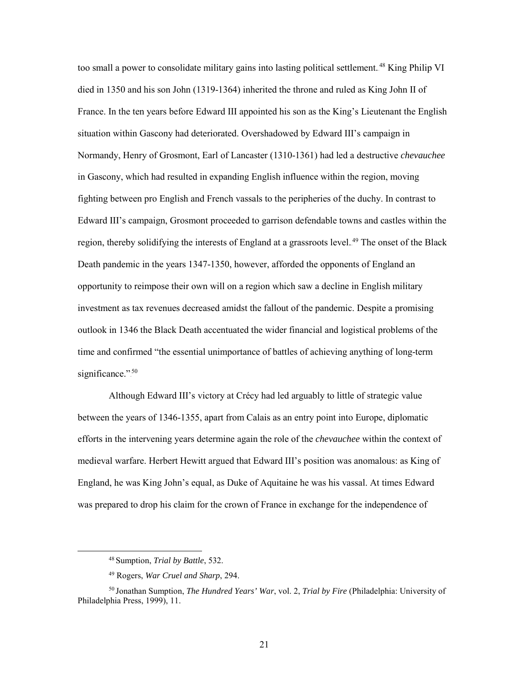too small a power to consolidate military gains into lasting political settlement.<sup>48</sup> King Philip VI died in 1350 and his son John (1319-1364) inherited the throne and ruled as King John II of France. In the ten years before Edward III appointed his son as the King's Lieutenant the English situation within Gascony had deteriorated. Overshadowed by Edward III's campaign in Normandy, Henry of Grosmont, Earl of Lancaster (1310-1361) had led a destructive *chevauchee* in Gascony, which had resulted in expanding English influence within the region, moving fighting between pro English and French vassals to the peripheries of the duchy. In contrast to Edward III's campaign, Grosmont proceeded to garrison defendable towns and castles within the region, thereby solidifying the interests of England at a grassroots level.<sup>49</sup> The onset of the Black Death pandemic in the years 1347-1350, however, afforded the opponents of England an opportunity to reimpose their own will on a region which saw a decline in English military investment as tax revenues decreased amidst the fallout of the pandemic. Despite a promising outlook in 1346 the Black Death accentuated the wider financial and logistical problems of the time and confirmed "the essential unimportance of battles of achieving anything of long-term significance."50

Although Edward III's victory at Crécy had led arguably to little of strategic value between the years of 1346-1355, apart from Calais as an entry point into Europe, diplomatic efforts in the intervening years determine again the role of the *chevauchee* within the context of medieval warfare. Herbert Hewitt argued that Edward III's position was anomalous: as King of England, he was King John's equal, as Duke of Aquitaine he was his vassal. At times Edward was prepared to drop his claim for the crown of France in exchange for the independence of

 <sup>48</sup> Sumption, *Trial by Battle*, 532.

<sup>49</sup> Rogers, *War Cruel and Sharp*, 294.

<sup>50</sup> Jonathan Sumption, *The Hundred Years' War*, vol. 2, *Trial by Fire* (Philadelphia: University of Philadelphia Press, 1999), 11.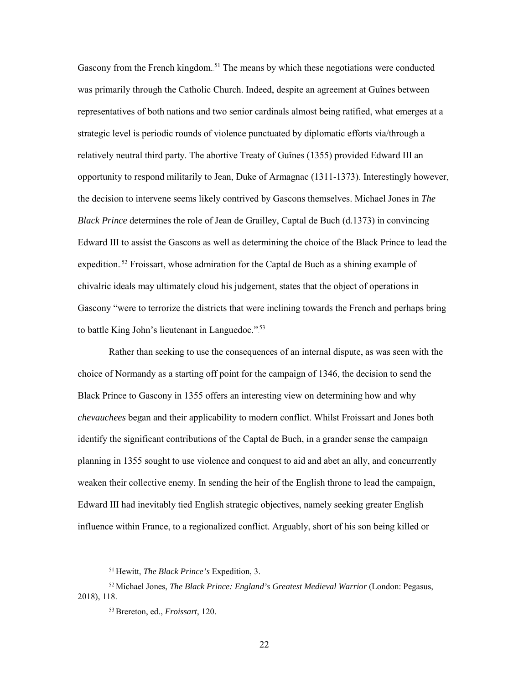Gascony from the French kingdom.<sup>51</sup> The means by which these negotiations were conducted was primarily through the Catholic Church. Indeed, despite an agreement at Guînes between representatives of both nations and two senior cardinals almost being ratified, what emerges at a strategic level is periodic rounds of violence punctuated by diplomatic efforts via/through a relatively neutral third party. The abortive Treaty of Guînes (1355) provided Edward III an opportunity to respond militarily to Jean, Duke of Armagnac (1311-1373). Interestingly however, the decision to intervene seems likely contrived by Gascons themselves. Michael Jones in *The Black Prince* determines the role of Jean de Grailley, Captal de Buch (d.1373) in convincing Edward III to assist the Gascons as well as determining the choice of the Black Prince to lead the expedition.<sup>52</sup> Froissart, whose admiration for the Captal de Buch as a shining example of chivalric ideals may ultimately cloud his judgement, states that the object of operations in Gascony "were to terrorize the districts that were inclining towards the French and perhaps bring to battle King John's lieutenant in Languedoc."<sup>53</sup>

Rather than seeking to use the consequences of an internal dispute, as was seen with the choice of Normandy as a starting off point for the campaign of 1346, the decision to send the Black Prince to Gascony in 1355 offers an interesting view on determining how and why *chevauchees* began and their applicability to modern conflict. Whilst Froissart and Jones both identify the significant contributions of the Captal de Buch, in a grander sense the campaign planning in 1355 sought to use violence and conquest to aid and abet an ally, and concurrently weaken their collective enemy. In sending the heir of the English throne to lead the campaign, Edward III had inevitably tied English strategic objectives, namely seeking greater English influence within France, to a regionalized conflict. Arguably, short of his son being killed or

 <sup>51</sup> Hewitt, *The Black Prince's* Expedition, 3.

<sup>52</sup> Michael Jones, *The Black Prince: England's Greatest Medieval Warrior* (London: Pegasus, 2018), 118.

<sup>53</sup>Brereton, ed., *Froissart*, 120.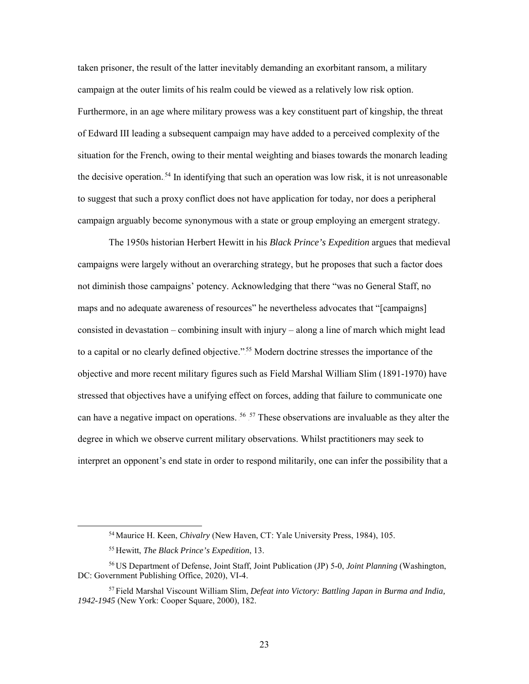taken prisoner, the result of the latter inevitably demanding an exorbitant ransom, a military campaign at the outer limits of his realm could be viewed as a relatively low risk option. Furthermore, in an age where military prowess was a key constituent part of kingship, the threat of Edward III leading a subsequent campaign may have added to a perceived complexity of the situation for the French, owing to their mental weighting and biases towards the monarch leading the decisive operation.<sup>54</sup> In identifying that such an operation was low risk, it is not unreasonable to suggest that such a proxy conflict does not have application for today, nor does a peripheral campaign arguably become synonymous with a state or group employing an emergent strategy.

The 1950s historian Herbert Hewitt in his *Black Prince's Expedition* argues that medieval campaigns were largely without an overarching strategy, but he proposes that such a factor does not diminish those campaigns' potency. Acknowledging that there "was no General Staff, no maps and no adequate awareness of resources" he nevertheless advocates that "[campaigns] consisted in devastation – combining insult with injury – along a line of march which might lead to a capital or no clearly defined objective."<sup>55</sup> Modern doctrine stresses the importance of the objective and more recent military figures such as Field Marshal William Slim (1891-1970) have stressed that objectives have a unifying effect on forces, adding that failure to communicate one can have a negative impact on operations.  $56 \times 57$  These observations are invaluable as they alter the degree in which we observe current military observations. Whilst practitioners may seek to interpret an opponent's end state in order to respond militarily, one can infer the possibility that a

 <sup>54</sup> Maurice H. Keen, *Chivalry* (New Haven, CT: Yale University Press, 1984), 105.

<sup>55</sup> Hewitt, *The Black Prince's Expedition*, 13.

<sup>56</sup> US Department of Defense, Joint Staff, Joint Publication (JP) 5-0, *Joint Planning* (Washington, DC: Government Publishing Office, 2020), VI-4.

<sup>57</sup> Field Marshal Viscount William Slim, *Defeat into Victory: Battling Japan in Burma and India, 1942-1945* (New York: Cooper Square, 2000), 182.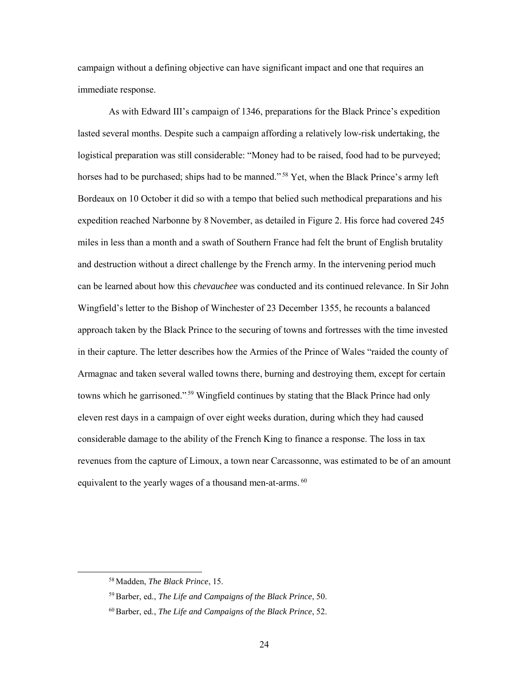campaign without a defining objective can have significant impact and one that requires an immediate response.

As with Edward III's campaign of 1346, preparations for the Black Prince's expedition lasted several months. Despite such a campaign affording a relatively low-risk undertaking, the logistical preparation was still considerable: "Money had to be raised, food had to be purveyed; horses had to be purchased; ships had to be manned."<sup>58</sup> Yet, when the Black Prince's army left Bordeaux on 10 October it did so with a tempo that belied such methodical preparations and his expedition reached Narbonne by 8 November, as detailed in Figure 2. His force had covered 245 miles in less than a month and a swath of Southern France had felt the brunt of English brutality and destruction without a direct challenge by the French army. In the intervening period much can be learned about how this *chevauchee* was conducted and its continued relevance. In Sir John Wingfield's letter to the Bishop of Winchester of 23 December 1355, he recounts a balanced approach taken by the Black Prince to the securing of towns and fortresses with the time invested in their capture. The letter describes how the Armies of the Prince of Wales "raided the county of Armagnac and taken several walled towns there, burning and destroying them, except for certain towns which he garrisoned."<sup>59</sup> Wingfield continues by stating that the Black Prince had only eleven rest days in a campaign of over eight weeks duration, during which they had caused considerable damage to the ability of the French King to finance a response. The loss in tax revenues from the capture of Limoux, a town near Carcassonne, was estimated to be of an amount equivalent to the yearly wages of a thousand men-at-arms.<sup>60</sup>

 <sup>58</sup> Madden, *The Black Prince*, 15.

<sup>59</sup>Barber, ed., *The Life and Campaigns of the Black Prince*, 50.

<sup>60</sup>Barber, ed., *The Life and Campaigns of the Black Prince*, 52.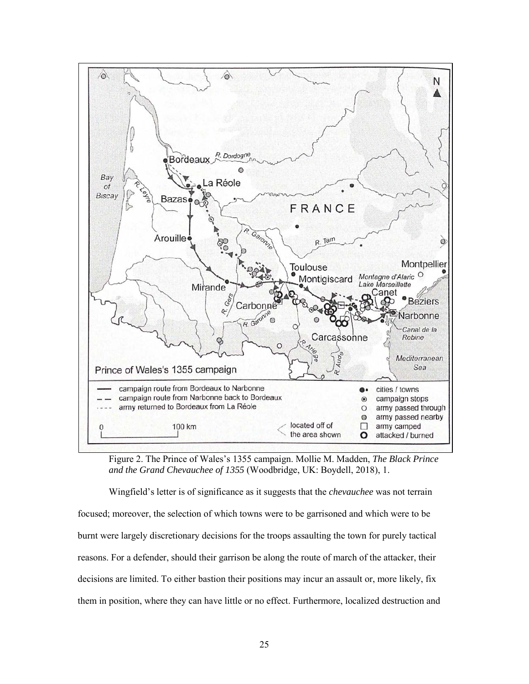

Figure 2. The Prince of Wales's 1355 campaign. Mollie M. Madden, *The Black Prince and the Grand Chevauchee of 1355* (Woodbridge, UK: Boydell, 2018), 1.

Wingfield's letter is of significance as it suggests that the *chevauchee* was not terrain focused; moreover, the selection of which towns were to be garrisoned and which were to be burnt were largely discretionary decisions for the troops assaulting the town for purely tactical reasons. For a defender, should their garrison be along the route of march of the attacker, their decisions are limited. To either bastion their positions may incur an assault or, more likely, fix them in position, where they can have little or no effect. Furthermore, localized destruction and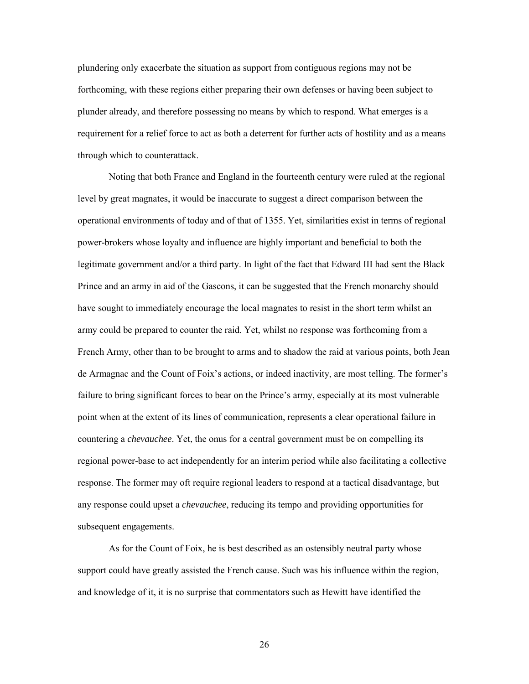plundering only exacerbate the situation as support from contiguous regions may not be forthcoming, with these regions either preparing their own defenses or having been subject to plunder already, and therefore possessing no means by which to respond. What emerges is a requirement for a relief force to act as both a deterrent for further acts of hostility and as a means through which to counterattack.

Noting that both France and England in the fourteenth century were ruled at the regional level by great magnates, it would be inaccurate to suggest a direct comparison between the operational environments of today and of that of 1355. Yet, similarities exist in terms of regional power-brokers whose loyalty and influence are highly important and beneficial to both the legitimate government and/or a third party. In light of the fact that Edward III had sent the Black Prince and an army in aid of the Gascons, it can be suggested that the French monarchy should have sought to immediately encourage the local magnates to resist in the short term whilst an army could be prepared to counter the raid. Yet, whilst no response was forthcoming from a French Army, other than to be brought to arms and to shadow the raid at various points, both Jean de Armagnac and the Count of Foix's actions, or indeed inactivity, are most telling. The former's failure to bring significant forces to bear on the Prince's army, especially at its most vulnerable point when at the extent of its lines of communication, represents a clear operational failure in countering a *chevauchee*. Yet, the onus for a central government must be on compelling its regional power-base to act independently for an interim period while also facilitating a collective response. The former may oft require regional leaders to respond at a tactical disadvantage, but any response could upset a *chevauchee*, reducing its tempo and providing opportunities for subsequent engagements.

As for the Count of Foix, he is best described as an ostensibly neutral party whose support could have greatly assisted the French cause. Such was his influence within the region, and knowledge of it, it is no surprise that commentators such as Hewitt have identified the

26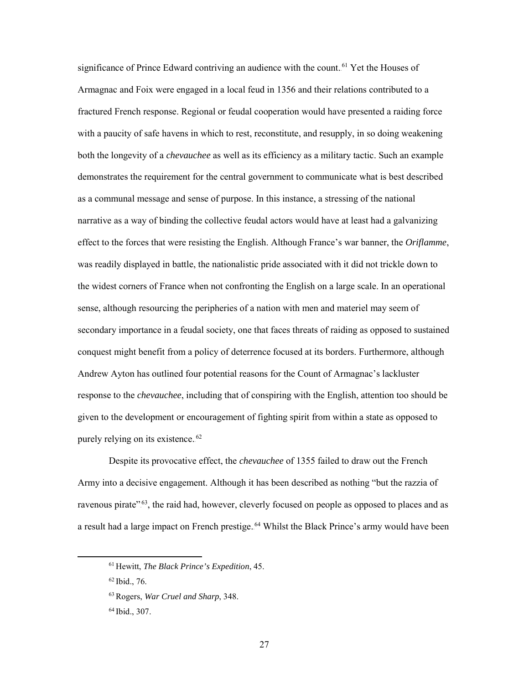significance of Prince Edward contriving an audience with the count.<sup>61</sup> Yet the Houses of Armagnac and Foix were engaged in a local feud in 1356 and their relations contributed to a fractured French response. Regional or feudal cooperation would have presented a raiding force with a paucity of safe havens in which to rest, reconstitute, and resupply, in so doing weakening both the longevity of a *chevauchee* as well as its efficiency as a military tactic. Such an example demonstrates the requirement for the central government to communicate what is best described as a communal message and sense of purpose. In this instance, a stressing of the national narrative as a way of binding the collective feudal actors would have at least had a galvanizing effect to the forces that were resisting the English. Although France's war banner, the *Oriflamme*, was readily displayed in battle, the nationalistic pride associated with it did not trickle down to the widest corners of France when not confronting the English on a large scale. In an operational sense, although resourcing the peripheries of a nation with men and materiel may seem of secondary importance in a feudal society, one that faces threats of raiding as opposed to sustained conquest might benefit from a policy of deterrence focused at its borders. Furthermore, although Andrew Ayton has outlined four potential reasons for the Count of Armagnac's lackluster response to the *chevauchee*, including that of conspiring with the English, attention too should be given to the development or encouragement of fighting spirit from within a state as opposed to purely relying on its existence.<sup>62</sup>

Despite its provocative effect, the *chevauchee* of 1355 failed to draw out the French Army into a decisive engagement. Although it has been described as nothing "but the razzia of ravenous pirate"<sup>63</sup>, the raid had, however, cleverly focused on people as opposed to places and as a result had a large impact on French prestige.<sup>64</sup> Whilst the Black Prince's army would have been

 <sup>61</sup> Hewitt, *The Black Prince's Expedition*, 45.

<sup>62</sup> Ibid., 76.

<sup>63</sup>Rogers, *War Cruel and Sharp*, 348.

<sup>64</sup> Ibid., 307.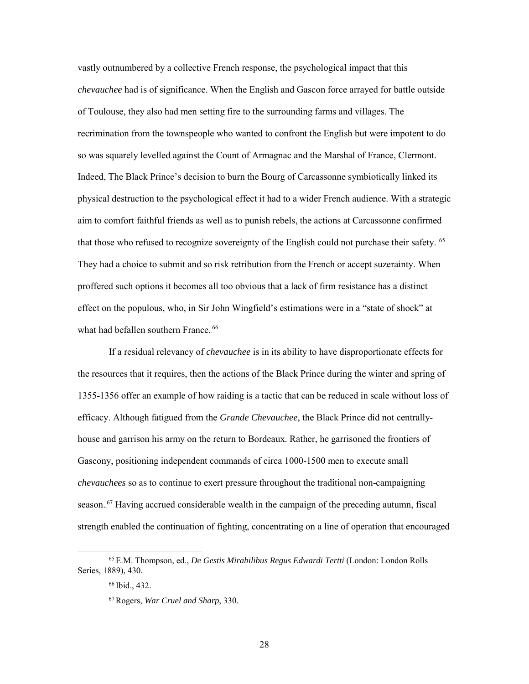vastly outnumbered by a collective French response, the psychological impact that this *chevauchee* had is of significance. When the English and Gascon force arrayed for battle outside of Toulouse, they also had men setting fire to the surrounding farms and villages. The recrimination from the townspeople who wanted to confront the English but were impotent to do so was squarely levelled against the Count of Armagnac and the Marshal of France, Clermont. Indeed, The Black Prince's decision to burn the Bourg of Carcassonne symbiotically linked its physical destruction to the psychological effect it had to a wider French audience. With a strategic aim to comfort faithful friends as well as to punish rebels, the actions at Carcassonne confirmed that those who refused to recognize sovereignty of the English could not purchase their safety. <sup>65</sup> They had a choice to submit and so risk retribution from the French or accept suzerainty. When proffered such options it becomes all too obvious that a lack of firm resistance has a distinct effect on the populous, who, in Sir John Wingfield's estimations were in a "state of shock" at what had befallen southern France.<sup>66</sup>

If a residual relevancy of *chevauchee* is in its ability to have disproportionate effects for the resources that it requires, then the actions of the Black Prince during the winter and spring of 1355-1356 offer an example of how raiding is a tactic that can be reduced in scale without loss of efficacy. Although fatigued from the *Grande Chevauchee*, the Black Prince did not centrallyhouse and garrison his army on the return to Bordeaux. Rather, he garrisoned the frontiers of Gascony, positioning independent commands of circa 1000-1500 men to execute small *chevauchees* so as to continue to exert pressure throughout the traditional non-campaigning season.<sup>67</sup> Having accrued considerable wealth in the campaign of the preceding autumn, fiscal strength enabled the continuation of fighting, concentrating on a line of operation that encouraged

 <sup>65</sup> E.M. Thompson, ed., *De Gestis Mirabilibus Regus Edwardi Tertti* (London: London Rolls Series, 1889), 430.

<sup>66</sup> Ibid., 432.

<sup>67</sup>Rogers, *War Cruel and Sharp*, 330.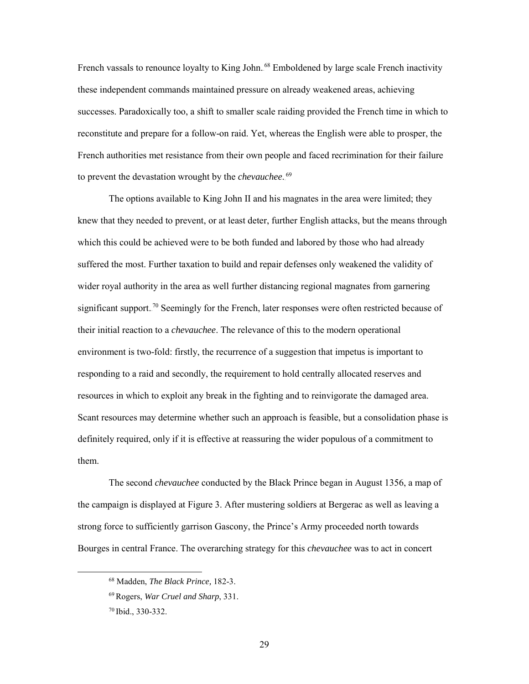French vassals to renounce loyalty to King John.<sup>68</sup> Emboldened by large scale French inactivity these independent commands maintained pressure on already weakened areas, achieving successes. Paradoxically too, a shift to smaller scale raiding provided the French time in which to reconstitute and prepare for a follow-on raid. Yet, whereas the English were able to prosper, the French authorities met resistance from their own people and faced recrimination for their failure to prevent the devastation wrought by the *chevauchee*.<sup>69</sup>

The options available to King John II and his magnates in the area were limited; they knew that they needed to prevent, or at least deter, further English attacks, but the means through which this could be achieved were to be both funded and labored by those who had already suffered the most. Further taxation to build and repair defenses only weakened the validity of wider royal authority in the area as well further distancing regional magnates from garnering significant support.<sup>70</sup> Seemingly for the French, later responses were often restricted because of their initial reaction to a *chevauchee*. The relevance of this to the modern operational environment is two-fold: firstly, the recurrence of a suggestion that impetus is important to responding to a raid and secondly, the requirement to hold centrally allocated reserves and resources in which to exploit any break in the fighting and to reinvigorate the damaged area. Scant resources may determine whether such an approach is feasible, but a consolidation phase is definitely required, only if it is effective at reassuring the wider populous of a commitment to them.

The second *chevauchee* conducted by the Black Prince began in August 1356, a map of the campaign is displayed at Figure 3. After mustering soldiers at Bergerac as well as leaving a strong force to sufficiently garrison Gascony, the Prince's Army proceeded north towards Bourges in central France. The overarching strategy for this *chevauchee* was to act in concert

 <sup>68</sup> Madden, *The Black Prince,* 182-3.

<sup>69</sup>Rogers, *War Cruel and Sharp*, 331.

<sup>70</sup> Ibid., 330-332.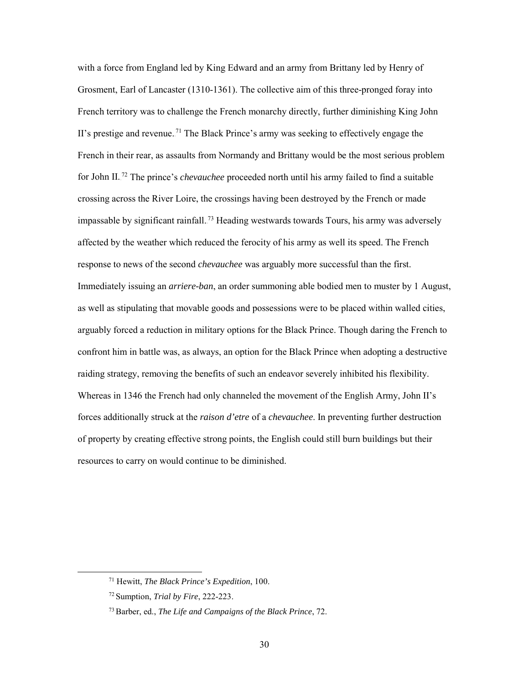with a force from England led by King Edward and an army from Brittany led by Henry of Grosment, Earl of Lancaster (1310-1361). The collective aim of this three-pronged foray into French territory was to challenge the French monarchy directly, further diminishing King John II's prestige and revenue.<sup>71</sup> The Black Prince's army was seeking to effectively engage the French in their rear, as assaults from Normandy and Brittany would be the most serious problem for John II.<sup>72</sup> The prince's *chevauchee* proceeded north until his army failed to find a suitable crossing across the River Loire, the crossings having been destroyed by the French or made impassable by significant rainfall.<sup>73</sup> Heading westwards towards Tours, his army was adversely affected by the weather which reduced the ferocity of his army as well its speed. The French response to news of the second *chevauchee* was arguably more successful than the first. Immediately issuing an *arriere-ban*, an order summoning able bodied men to muster by 1 August, as well as stipulating that movable goods and possessions were to be placed within walled cities, arguably forced a reduction in military options for the Black Prince. Though daring the French to confront him in battle was, as always, an option for the Black Prince when adopting a destructive raiding strategy, removing the benefits of such an endeavor severely inhibited his flexibility. Whereas in 1346 the French had only channeled the movement of the English Army, John II's forces additionally struck at the *raison d'etre* of a *chevauchee*. In preventing further destruction of property by creating effective strong points, the English could still burn buildings but their resources to carry on would continue to be diminished.

 <sup>71</sup> Hewitt, *The Black Prince's Expedition*, 100.

<sup>72</sup> Sumption, *Trial by Fire*, 222-223.

<sup>73</sup>Barber, ed., *The Life and Campaigns of the Black Prince*, 72.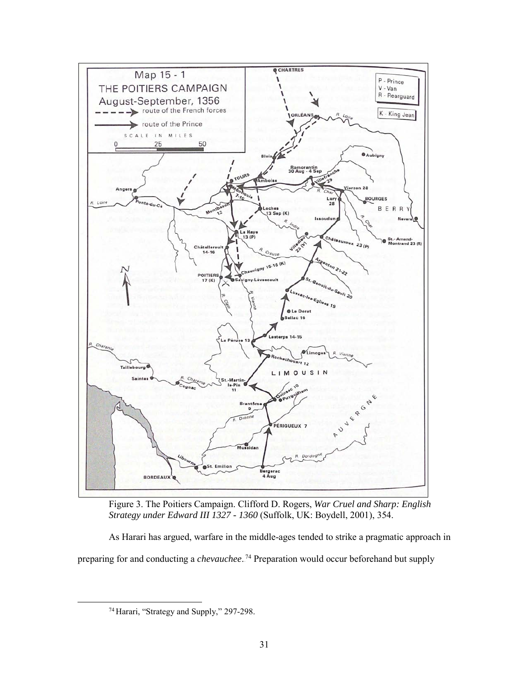

Figure 3. The Poitiers Campaign. Clifford D. Rogers, *War Cruel and Sharp: English Strategy under Edward III 1327 - 1360* (Suffolk, UK: Boydell, 2001), 354.

As Harari has argued, warfare in the middle-ages tended to strike a pragmatic approach in preparing for and conducting a *chevauchee*.<sup>74</sup> Preparation would occur beforehand but supply

 <sup>74</sup> Harari, "Strategy and Supply," 297-298.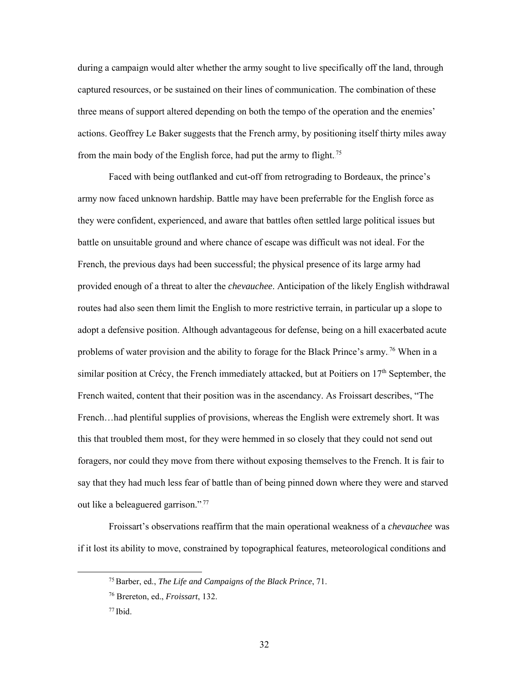during a campaign would alter whether the army sought to live specifically off the land, through captured resources, or be sustained on their lines of communication. The combination of these three means of support altered depending on both the tempo of the operation and the enemies' actions. Geoffrey Le Baker suggests that the French army, by positioning itself thirty miles away from the main body of the English force, had put the army to flight.<sup>75</sup>

Faced with being outflanked and cut-off from retrograding to Bordeaux, the prince's army now faced unknown hardship. Battle may have been preferrable for the English force as they were confident, experienced, and aware that battles often settled large political issues but battle on unsuitable ground and where chance of escape was difficult was not ideal. For the French, the previous days had been successful; the physical presence of its large army had provided enough of a threat to alter the *chevauchee*. Anticipation of the likely English withdrawal routes had also seen them limit the English to more restrictive terrain, in particular up a slope to adopt a defensive position. Although advantageous for defense, being on a hill exacerbated acute problems of water provision and the ability to forage for the Black Prince's army.<sup>76</sup> When in a similar position at Crécy, the French immediately attacked, but at Poitiers on  $17<sup>th</sup>$  September, the French waited, content that their position was in the ascendancy. As Froissart describes, "The French…had plentiful supplies of provisions, whereas the English were extremely short. It was this that troubled them most, for they were hemmed in so closely that they could not send out foragers, nor could they move from there without exposing themselves to the French. It is fair to say that they had much less fear of battle than of being pinned down where they were and starved out like a beleaguered garrison.".<sup>77</sup>

Froissart's observations reaffirm that the main operational weakness of a *chevauchee* was if it lost its ability to move, constrained by topographical features, meteorological conditions and

 <sup>75</sup>Barber, ed., *The Life and Campaigns of the Black Prince*, 71.

<sup>76</sup> Brereton, ed., *Froissart*, 132.

 $77$  Ibid.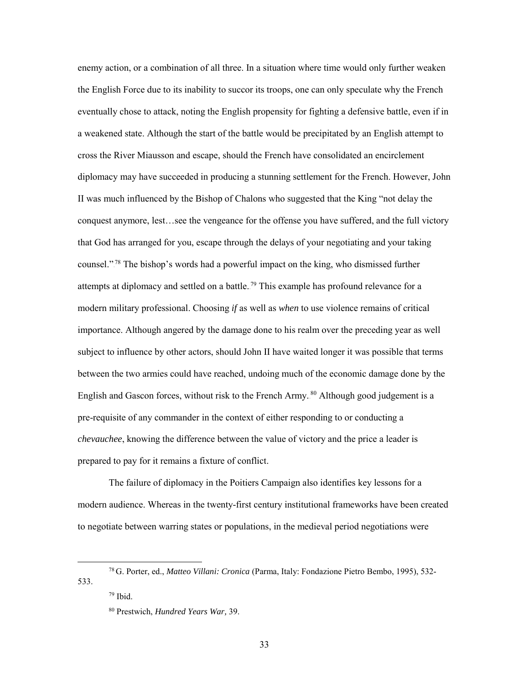enemy action, or a combination of all three. In a situation where time would only further weaken the English Force due to its inability to succor its troops, one can only speculate why the French eventually chose to attack, noting the English propensity for fighting a defensive battle, even if in a weakened state. Although the start of the battle would be precipitated by an English attempt to cross the River Miausson and escape, should the French have consolidated an encirclement diplomacy may have succeeded in producing a stunning settlement for the French. However, John II was much influenced by the Bishop of Chalons who suggested that the King "not delay the conquest anymore, lest…see the vengeance for the offense you have suffered, and the full victory that God has arranged for you, escape through the delays of your negotiating and your taking counsel."<sup>78</sup> The bishop's words had a powerful impact on the king, who dismissed further attempts at diplomacy and settled on a battle.<sup>79</sup> This example has profound relevance for a modern military professional. Choosing *if* as well as *when* to use violence remains of critical importance. Although angered by the damage done to his realm over the preceding year as well subject to influence by other actors, should John II have waited longer it was possible that terms between the two armies could have reached, undoing much of the economic damage done by the English and Gascon forces, without risk to the French Army.<sup>80</sup> Although good judgement is a pre-requisite of any commander in the context of either responding to or conducting a *chevauchee*, knowing the difference between the value of victory and the price a leader is prepared to pay for it remains a fixture of conflict.

The failure of diplomacy in the Poitiers Campaign also identifies key lessons for a modern audience. Whereas in the twenty-first century institutional frameworks have been created to negotiate between warring states or populations, in the medieval period negotiations were

 <sup>78</sup> G. Porter, ed., *Matteo Villani: Cronica* (Parma, Italy: Fondazione Pietro Bembo, 1995), 532- 533.

 $79$  Ibid.

<sup>80</sup> Prestwich, *Hundred Years War,* 39.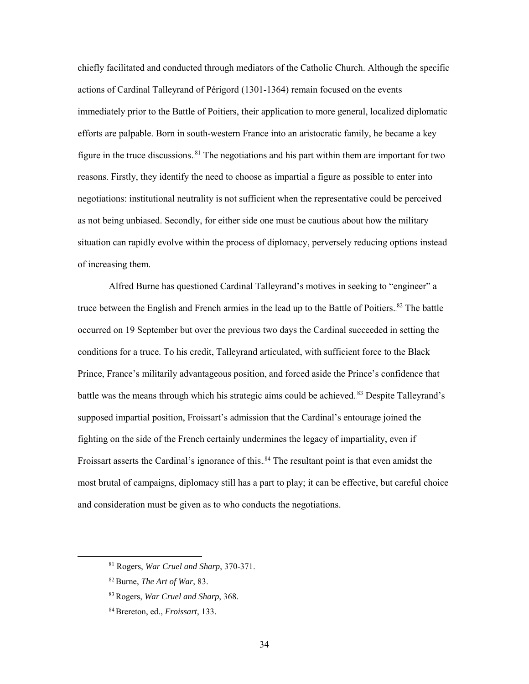chiefly facilitated and conducted through mediators of the Catholic Church. Although the specific actions of Cardinal Talleyrand of Périgord (1301-1364) remain focused on the events immediately prior to the Battle of Poitiers, their application to more general, localized diplomatic efforts are palpable. Born in south-western France into an aristocratic family, he became a key figure in the truce discussions.<sup>81</sup> The negotiations and his part within them are important for two reasons. Firstly, they identify the need to choose as impartial a figure as possible to enter into negotiations: institutional neutrality is not sufficient when the representative could be perceived as not being unbiased. Secondly, for either side one must be cautious about how the military situation can rapidly evolve within the process of diplomacy, perversely reducing options instead of increasing them.

Alfred Burne has questioned Cardinal Talleyrand's motives in seeking to "engineer" a truce between the English and French armies in the lead up to the Battle of Poitiers. <sup>82</sup> The battle occurred on 19 September but over the previous two days the Cardinal succeeded in setting the conditions for a truce. To his credit, Talleyrand articulated, with sufficient force to the Black Prince, France's militarily advantageous position, and forced aside the Prince's confidence that battle was the means through which his strategic aims could be achieved.<sup>83</sup> Despite Talleyrand's supposed impartial position, Froissart's admission that the Cardinal's entourage joined the fighting on the side of the French certainly undermines the legacy of impartiality, even if Froissart asserts the Cardinal's ignorance of this.<sup>84</sup> The resultant point is that even amidst the most brutal of campaigns, diplomacy still has a part to play; it can be effective, but careful choice and consideration must be given as to who conducts the negotiations.

 <sup>81</sup> Rogers, *War Cruel and Sharp*, 370-371.

<sup>82</sup>Burne, *The Art of War*, 83.

<sup>83</sup>Rogers, *War Cruel and Sharp*, 368.

<sup>84</sup>Brereton, ed., *Froissart*, 133.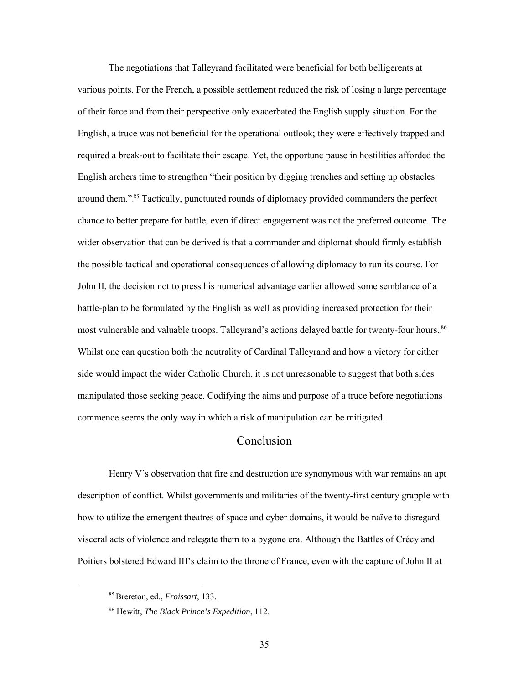The negotiations that Talleyrand facilitated were beneficial for both belligerents at various points. For the French, a possible settlement reduced the risk of losing a large percentage of their force and from their perspective only exacerbated the English supply situation. For the English, a truce was not beneficial for the operational outlook; they were effectively trapped and required a break-out to facilitate their escape. Yet, the opportune pause in hostilities afforded the English archers time to strengthen "their position by digging trenches and setting up obstacles around them."<sup>85</sup> Tactically, punctuated rounds of diplomacy provided commanders the perfect chance to better prepare for battle, even if direct engagement was not the preferred outcome. The wider observation that can be derived is that a commander and diplomat should firmly establish the possible tactical and operational consequences of allowing diplomacy to run its course. For John II, the decision not to press his numerical advantage earlier allowed some semblance of a battle-plan to be formulated by the English as well as providing increased protection for their most vulnerable and valuable troops. Talleyrand's actions delayed battle for twenty-four hours. 86 Whilst one can question both the neutrality of Cardinal Talleyrand and how a victory for either side would impact the wider Catholic Church, it is not unreasonable to suggest that both sides manipulated those seeking peace. Codifying the aims and purpose of a truce before negotiations commence seems the only way in which a risk of manipulation can be mitigated.

#### Conclusion

<span id="page-41-0"></span>Henry V's observation that fire and destruction are synonymous with war remains an apt description of conflict. Whilst governments and militaries of the twenty-first century grapple with how to utilize the emergent theatres of space and cyber domains, it would be naïve to disregard visceral acts of violence and relegate them to a bygone era. Although the Battles of Crécy and Poitiers bolstered Edward III's claim to the throne of France, even with the capture of John II at

 <sup>85</sup>Brereton, ed., *Froissart*, 133.

<sup>86</sup> Hewitt, *The Black Prince's Expedition*, 112.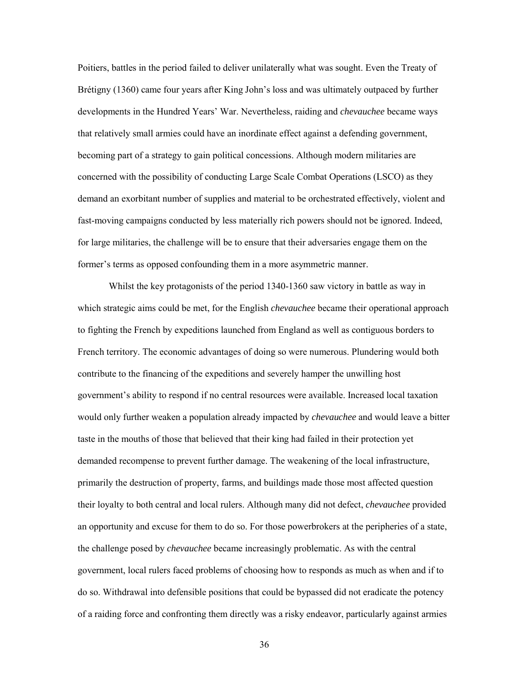Poitiers, battles in the period failed to deliver unilaterally what was sought. Even the Treaty of Brétigny (1360) came four years after King John's loss and was ultimately outpaced by further developments in the Hundred Years' War. Nevertheless, raiding and *chevauchee* became ways that relatively small armies could have an inordinate effect against a defending government, becoming part of a strategy to gain political concessions. Although modern militaries are concerned with the possibility of conducting Large Scale Combat Operations (LSCO) as they demand an exorbitant number of supplies and material to be orchestrated effectively, violent and fast-moving campaigns conducted by less materially rich powers should not be ignored. Indeed, for large militaries, the challenge will be to ensure that their adversaries engage them on the former's terms as opposed confounding them in a more asymmetric manner.

Whilst the key protagonists of the period 1340-1360 saw victory in battle as way in which strategic aims could be met, for the English *chevauchee* became their operational approach to fighting the French by expeditions launched from England as well as contiguous borders to French territory. The economic advantages of doing so were numerous. Plundering would both contribute to the financing of the expeditions and severely hamper the unwilling host government's ability to respond if no central resources were available. Increased local taxation would only further weaken a population already impacted by *chevauchee* and would leave a bitter taste in the mouths of those that believed that their king had failed in their protection yet demanded recompense to prevent further damage. The weakening of the local infrastructure, primarily the destruction of property, farms, and buildings made those most affected question their loyalty to both central and local rulers. Although many did not defect, *chevauchee* provided an opportunity and excuse for them to do so. For those powerbrokers at the peripheries of a state, the challenge posed by *chevauchee* became increasingly problematic. As with the central government, local rulers faced problems of choosing how to responds as much as when and if to do so. Withdrawal into defensible positions that could be bypassed did not eradicate the potency of a raiding force and confronting them directly was a risky endeavor, particularly against armies

36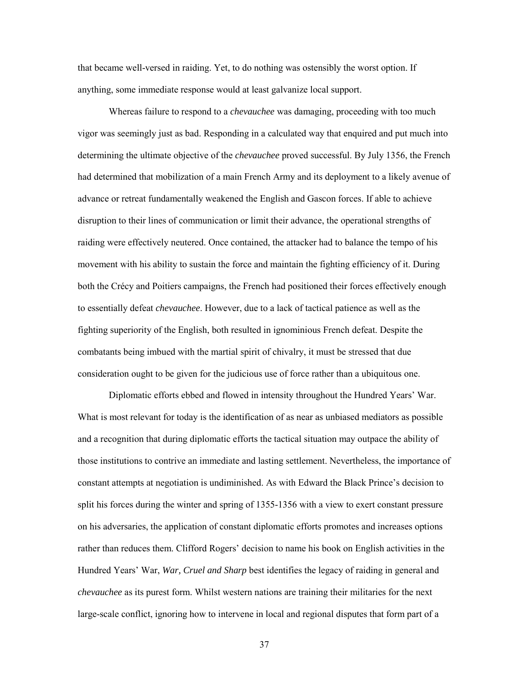that became well-versed in raiding. Yet, to do nothing was ostensibly the worst option. If anything, some immediate response would at least galvanize local support.

Whereas failure to respond to a *chevauchee* was damaging, proceeding with too much vigor was seemingly just as bad. Responding in a calculated way that enquired and put much into determining the ultimate objective of the *chevauchee* proved successful. By July 1356, the French had determined that mobilization of a main French Army and its deployment to a likely avenue of advance or retreat fundamentally weakened the English and Gascon forces. If able to achieve disruption to their lines of communication or limit their advance, the operational strengths of raiding were effectively neutered. Once contained, the attacker had to balance the tempo of his movement with his ability to sustain the force and maintain the fighting efficiency of it. During both the Crécy and Poitiers campaigns, the French had positioned their forces effectively enough to essentially defeat *chevauchee*. However, due to a lack of tactical patience as well as the fighting superiority of the English, both resulted in ignominious French defeat. Despite the combatants being imbued with the martial spirit of chivalry, it must be stressed that due consideration ought to be given for the judicious use of force rather than a ubiquitous one.

Diplomatic efforts ebbed and flowed in intensity throughout the Hundred Years' War. What is most relevant for today is the identification of as near as unbiased mediators as possible and a recognition that during diplomatic efforts the tactical situation may outpace the ability of those institutions to contrive an immediate and lasting settlement. Nevertheless, the importance of constant attempts at negotiation is undiminished. As with Edward the Black Prince's decision to split his forces during the winter and spring of 1355-1356 with a view to exert constant pressure on his adversaries, the application of constant diplomatic efforts promotes and increases options rather than reduces them. Clifford Rogers' decision to name his book on English activities in the Hundred Years' War, *War, Cruel and Sharp* best identifies the legacy of raiding in general and *chevauchee* as its purest form. Whilst western nations are training their militaries for the next large-scale conflict, ignoring how to intervene in local and regional disputes that form part of a

37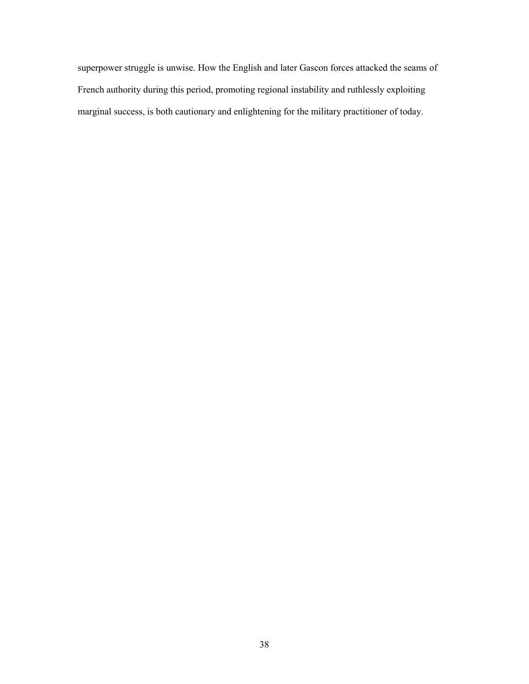superpower struggle is unwise. How the English and later Gascon forces attacked the seams of French authority during this period, promoting regional instability and ruthlessly exploiting marginal success, is both cautionary and enlightening for the military practitioner of today.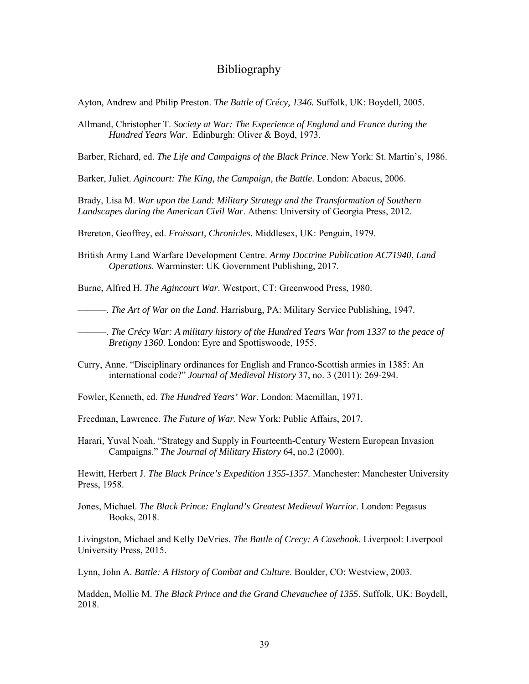#### Bibliography

<span id="page-45-0"></span>Ayton, Andrew and Philip Preston. *The Battle of Crécy, 1346.* Suffolk, UK: Boydell, 2005.

Allmand, Christopher T. *Society at War: The Experience of England and France during the Hundred Years War*. Edinburgh: Oliver & Boyd, 1973.

Barber, Richard, ed. *The Life and Campaigns of the Black Prince*. New York: St. Martin's, 1986.

Barker, Juliet. *Agincourt: The King, the Campaign, the Battle.* London: Abacus, 2006.

Brady, Lisa M. *War upon the Land: Military Strategy and the Transformation of Southern Landscapes during the American Civil War*. Athens: University of Georgia Press, 2012.

Brereton, Geoffrey, ed. *Froissart, Chronicles*. Middlesex, UK: Penguin, 1979.

British Army Land Warfare Development Centre. *Army Doctrine Publication AC71940*, *Land Operations*. Warminster: UK Government Publishing, 2017.

Burne, Alfred H. *The Agincourt War*. Westport, CT: Greenwood Press, 1980.

———. *The Art of War on the Land*. Harrisburg, PA: Military Service Publishing, 1947.

———. *The Crécy War: A military history of the Hundred Years War from 1337 to the peace of Bretigny 1360*. London: Eyre and Spottiswoode, 1955.

Curry, Anne. "Disciplinary ordinances for English and Franco-Scottish armies in 1385: An international code?" *Journal of Medieval History* 37, no. 3 (2011): 269-294.

Fowler, Kenneth, ed. *The Hundred Years' War*. London: Macmillan, 1971.

Freedman, Lawrence. *The Future of War*. New York: Public Affairs, 2017.

Harari*,* Yuval Noah. "Strategy and Supply in Fourteenth-Century Western European Invasion Campaigns." *The Journal of Military History* 64, no.2 (2000).

Hewitt, Herbert J. *The Black Prince's Expedition 1355-1357.* Manchester: Manchester University Press, 1958.

Jones, Michael. *The Black Prince: England's Greatest Medieval Warrior*. London: Pegasus Books, 2018.

Livingston, Michael and Kelly DeVries. *The Battle of Crecy: A Casebook*. Liverpool: Liverpool University Press, 2015.

Lynn, John A. *Battle: A History of Combat and Culture*. Boulder, CO: Westview, 2003.

Madden, Mollie M. *The Black Prince and the Grand Chevauchee of 1355*. Suffolk, UK: Boydell, 2018.